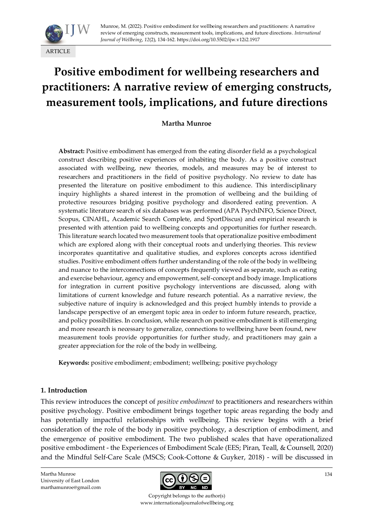

# **Positive embodiment for wellbeing researchers and practitioners: A narrative review of emerging constructs, measurement tools, implications, and future directions**

**Martha Munroe**

**Abstract:** Positive embodiment has emerged from the eating disorder field as a psychological construct describing positive experiences of inhabiting the body. As a positive construct associated with wellbeing, new theories, models, and measures may be of interest to researchers and practitioners in the field of positive psychology. No review to date has presented the literature on positive embodiment to this audience. This interdisciplinary inquiry highlights a shared interest in the promotion of wellbeing and the building of protective resources bridging positive psychology and disordered eating prevention. A systematic literature search of six databases was performed (APA PsychINFO, Science Direct, Scopus, CINAHL, Academic Search Complete, and SportDiscus) and empirical research is presented with attention paid to wellbeing concepts and opportunities for further research. This literature search located two measurement tools that operationalize positive embodiment which are explored along with their conceptual roots and underlying theories. This review incorporates quantitative and qualitative studies, and explores concepts across identified studies. Positive embodiment offers further understanding of the role of the body in wellbeing and nuance to the interconnections of concepts frequently viewed as separate, such as eating and exercise behaviour, agency and empowerment, self-concept and body image. Implications for integration in current positive psychology interventions are discussed, along with limitations of current knowledge and future research potential. As a narrative review, the subjective nature of inquiry is acknowledged and this project humbly intends to provide a landscape perspective of an emergent topic area in order to inform future research, practice, and policy possibilities. In conclusion, while research on positive embodiment is still emerging and more research is necessary to generalize, connections to wellbeing have been found, new measurement tools provide opportunities for further study, and practitioners may gain a greater appreciation for the role of the body in wellbeing.

**Keywords:** positive embodiment; embodiment; wellbeing; positive psychology

### **1. Introduction**

This review introduces the concept of *positive embodiment* to practitioners and researchers within positive psychology. Positive embodiment brings together topic areas regarding the body and has potentially impactful relationships with wellbeing. This review begins with a brief consideration of the role of the body in positive psychology, a description of embodiment, and the emergence of positive embodiment. The two published scales that have operationalized positive embodiment - the Experiences of Embodiment Scale (EES; Piran, Teall, & Counsell, 2020) and the Mindful Self-Care Scale (MSCS; Cook-Cottone & Guyker, 2018) - will be discussed in

Martha Munroe University of East London marthamunroe@gmail.com



Copyright belongs to the author(s) www.internationaljournalofwellbeing.org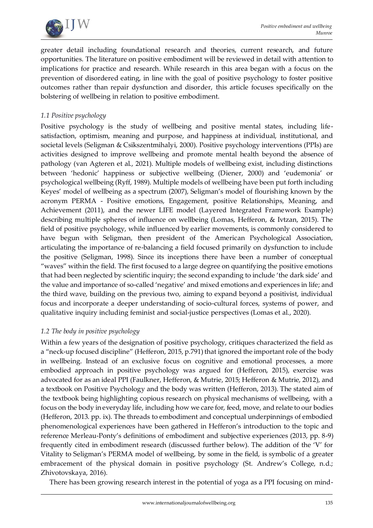

greater detail including foundational research and theories, current research, and future opportunities. The literature on positive embodiment will be reviewed in detail with attention to implications for practice and research. While research in this area began with a focus on the prevention of disordered eating, in line with the goal of positive psychology to foster positive outcomes rather than repair dysfunction and disorder, this article focuses specifically on the bolstering of wellbeing in relation to positive embodiment.

## *1.1 Positive psychology*

Positive psychology is the study of wellbeing and positive mental states, including lifesatisfaction, optimism, meaning and purpose, and happiness at individual, institutional, and societal levels (Seligman & Csikszentmihalyi, 2000). Positive psychology interventions (PPIs) are activities designed to improve wellbeing and promote mental health beyond the absence of pathology (van Agteren et al., 2021). Multiple models of wellbeing exist, including distinctions between 'hedonic' happiness or subjective wellbeing (Diener, 2000) and 'eudemonia' or psychological wellbeing (Ryff, 1989). Multiple models of wellbeing have been put forth including Keyes' model of wellbeing as a spectrum (2007), Seligman's model of flourishing known by the acronym PERMA - Positive emotions, Engagement, positive Relationships, Meaning, and Achievement (2011), and the newer LIFE model (Layered Integrated Framework Example) describing multiple spheres of influence on wellbeing (Lomas, Hefferon, & Ivtzan, 2015). The field of positive psychology, while influenced by earlier movements, is commonly considered to have begun with Seligman, then president of the American Psychological Association, articulating the importance of re-balancing a field focused primarily on dysfunction to include the positive (Seligman, 1998). Since its inceptions there have been a number of conceptual "waves" within the field. The first focused to a large degree on quantifying the positive emotions that had been neglected by scientific inquiry; the second expanding to include 'the dark side' and the value and importance of so-called 'negative' and mixed emotions and experiences in life; and the third wave, building on the previous two, aiming to expand beyond a positivist, individual focus and incorporate a deeper understanding of socio-cultural forces, systems of power, and qualitative inquiry including feminist and social-justice perspectives (Lomas et al., 2020).

### *1.2 The body in positive psychology*

Within a few years of the designation of positive psychology, critiques characterized the field as a "neck-up focused discipline" (Hefferon, 2015, p.791) that ignored the important role of the body in wellbeing. Instead of an exclusive focus on cognitive and emotional processes, a more embodied approach in positive psychology was argued for (Hefferon, 2015), exercise was advocated for as an ideal PPI (Faulkner, Hefferon, & Mutrie, 2015; Hefferon & Mutrie, 2012), and a textbook on Positive Psychology and the body was written (Hefferon, 2013). The stated aim of the textbook being highlighting copious research on physical mechanisms of wellbeing, with a focus on the body in everyday life, including how we care for, feed, move, and relate to our bodies (Hefferon, 2013. pp. ix). The threads to embodiment and conceptual underpinnings of embodied phenomenological experiences have been gathered in Hefferon's introduction to the topic and reference Merleau-Ponty's definitions of embodiment and subjective experiences (2013, pp. 8-9) frequently cited in embodiment research (discussed further below). The addition of the 'V' for Vitality to Seligman's PERMA model of wellbeing, by some in the field, is symbolic of a greater embracement of the physical domain in positive psychology (St. Andrew's College, n.d.; Zhivotovskaya, 2016).

There has been growing research interest in the potential of yoga as a PPI focusing on mind-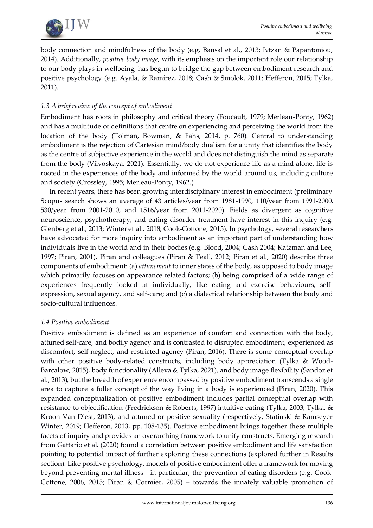

body connection and mindfulness of the body (e.g. Bansal et al., 2013; Ivtzan & Papantoniou, 2014). Additionally, *positive body image,* with its emphasis on the important role our relationship to our body plays in wellbeing, has begun to bridge the gap between embodiment research and positive psychology (e.g. Ayala, & Ramírez, 2018; Cash & Smolok, 2011; Hefferon, 2015; Tylka, 2011).

# *1.3 A brief review of the concept of embodiment*

Embodiment has roots in philosophy and critical theory (Foucault, 1979; Merleau-Ponty, 1962) and has a multitude of definitions that centre on experiencing and perceiving the world from the location of the body (Tolman, Bowman, & Fahs, 2014, p. 760). Central to understanding embodiment is the rejection of Cartesian mind/body dualism for a unity that identifies the body as the centre of subjective experience in the world and does not distinguish the mind as separate from the body (Vilvoskaya, 2021). Essentially, we do not experience life as a mind alone, life is rooted in the experiences of the body and informed by the world around us, including culture and society (Crossley, 1995; Merleau-Ponty, 1962.)

In recent years, there has been growing interdisciplinary interest in embodiment (preliminary Scopus search shows an average of 43 articles/year from 1981-1990, 110/year from 1991-2000, 530/year from 2001-2010, and 1516/year from 2011-2020). Fields as divergent as cognitive neuroscience, psychotherapy, and eating disorder treatment have interest in this inquiry (e.g. Glenberg et al., 2013; Winter et al., 2018; Cook-Cottone, 2015). In psychology, several researchers have advocated for more inquiry into embodiment as an important part of understanding how individuals live in the world and in their bodies (e.g. Blood, 2004; Cash 2004; Katzman and Lee, 1997; Piran, 2001). Piran and colleagues (Piran & Teall, 2012; Piran et al., 2020) describe three components of embodiment: (a) *attunement* to inner states of the body, as opposed to body image which primarily focuses on appearance related factors; (b) being comprised of a wide range of experiences frequently looked at individually, like eating and exercise behaviours, selfexpression, sexual agency, and self-care; and (c) a dialectical relationship between the body and socio-cultural influences.

# *1.4 Positive embodiment*

Positive embodiment is defined as an experience of comfort and connection with the body, attuned self-care, and bodily agency and is contrasted to disrupted embodiment, experienced as discomfort, self-neglect, and restricted agency (Piran, 2016). There is some conceptual overlap with other positive body-related constructs, including body appreciation (Tylka & Wood-Barcalow, 2015), body functionality (Alleva & Tylka, 2021), and body image flexibility (Sandoz et al., 2013), but the breadth of experience encompassed by positive embodiment transcends a single area to capture a fuller concept of the way living in a body is experienced (Piran, 2020). This expanded conceptualization of positive embodiment includes partial conceptual overlap with resistance to objectification (Fredrickson & Roberts, 1997) intuitive eating (Tylka, 2003; Tylka, & Kroon Van Diest, 2013), and attuned or positive sexuality (respectively, Statinski & Ramseyer Winter, 2019; Hefferon, 2013, pp. 108-135). Positive embodiment brings together these multiple facets of inquiry and provides an overarching framework to unify constructs. Emerging research from Gattario et al. (2020) found a correlation between positive embodiment and life satisfaction pointing to potential impact of further exploring these connections (explored further in Results section). Like positive psychology, models of positive embodiment offer a framework for moving beyond preventing mental illness - in particular, the prevention of eating disorders (e.g. Cook-Cottone, 2006, 2015; Piran & Cormier, 2005) – towards the innately valuable promotion of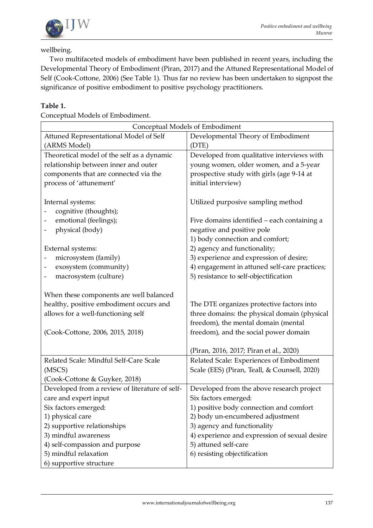

### wellbeing.

Two multifaceted models of embodiment have been published in recent years, including the Developmental Theory of Embodiment (Piran, 2017) and the Attuned Representational Model of Self (Cook-Cottone, 2006) (See Table 1). Thus far no review has been undertaken to signpost the significance of positive embodiment to positive psychology practitioners.

# **Table 1.**

Conceptual Models of Embodiment.

| Conceptual Models of Embodiment                         |                                               |  |  |  |
|---------------------------------------------------------|-----------------------------------------------|--|--|--|
| Attuned Representational Model of Self                  | Developmental Theory of Embodiment            |  |  |  |
| (ARMS Model)                                            | (DTE)                                         |  |  |  |
| Theoretical model of the self as a dynamic              | Developed from qualitative interviews with    |  |  |  |
| relationship between inner and outer                    | young women, older women, and a 5-year        |  |  |  |
| components that are connected via the                   | prospective study with girls (age 9-14 at     |  |  |  |
| process of 'attunement'                                 | initial interview)                            |  |  |  |
|                                                         |                                               |  |  |  |
| Internal systems:                                       | Utilized purposive sampling method            |  |  |  |
| cognitive (thoughts);                                   |                                               |  |  |  |
| emotional (feelings);                                   | Five domains identified - each containing a   |  |  |  |
| physical (body)                                         | negative and positive pole                    |  |  |  |
|                                                         | 1) body connection and comfort;               |  |  |  |
| External systems:                                       | 2) agency and functionality;                  |  |  |  |
| microsystem (family)                                    | 3) experience and expression of desire;       |  |  |  |
| exosystem (community)                                   | 4) engagement in attuned self-care practices; |  |  |  |
| macrosystem (culture)                                   | 5) resistance to self-objectification         |  |  |  |
|                                                         |                                               |  |  |  |
| When these components are well balanced                 |                                               |  |  |  |
| healthy, positive embodiment occurs and                 | The DTE organizes protective factors into     |  |  |  |
| allows for a well-functioning self                      | three domains: the physical domain (physical  |  |  |  |
|                                                         | freedom), the mental domain (mental           |  |  |  |
| (Cook-Cottone, 2006, 2015, 2018)                        | freedom), and the social power domain         |  |  |  |
|                                                         |                                               |  |  |  |
|                                                         | (Piran, 2016, 2017; Piran et al., 2020)       |  |  |  |
| Related Scale: Mindful Self-Care Scale                  | Related Scale: Experiences of Embodiment      |  |  |  |
| (MSCS)                                                  | Scale (EES) (Piran, Teall, & Counsell, 2020)  |  |  |  |
| (Cook-Cottone & Guyker, 2018)                           |                                               |  |  |  |
| Developed from a review of literature of self-          | Developed from the above research project     |  |  |  |
| care and expert input                                   | Six factors emerged:                          |  |  |  |
| Six factors emerged:                                    | 1) positive body connection and comfort       |  |  |  |
| 1) physical care                                        | 2) body un-encumbered adjustment              |  |  |  |
| 2) supportive relationships                             | 3) agency and functionality                   |  |  |  |
| 3) mindful awareness                                    | 4) experience and expression of sexual desire |  |  |  |
| 4) self-compassion and purpose<br>5) mindful relaxation | 5) attuned self-care                          |  |  |  |
|                                                         | 6) resisting objectification                  |  |  |  |
| 6) supportive structure                                 |                                               |  |  |  |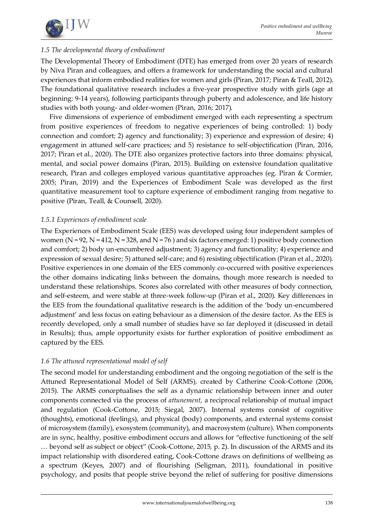

# *1.5 The developmental theory of embodiment*

The Developmental Theory of Embodiment (DTE) has emerged from over 20 years of research by Niva Piran and colleagues, and offers a framework for understanding the social and cultural experiences that inform embodied realities for women and girls (Piran, 2017; Piran & Teall, 2012). The foundational qualitative research includes a five-year prospective study with girls (age at beginning: 9-14 years), following participants through puberty and adolescence, and life history studies with both young- and older-women (Piran, 2016; 2017).

Five dimensions of experience of embodiment emerged with each representing a spectrum from positive experiences of freedom to negative experiences of being controlled: 1) body connection and comfort; 2) agency and functionality; 3) experience and expression of desire; 4) engagement in attuned self-care practices; and 5) resistance to self-objectification (Piran, 2016, 2017; Piran et al., 2020). The DTE also organizes protective factors into three domains: physical, mental, and social power domains (Piran, 2015). Building on extensive foundation qualitative research, Piran and colleges employed various quantitative approaches (eg. Piran & Cormier, 2005; Piran, 2019) and the Experiences of Embodiment Scale was developed as the first quantitative measurement tool to capture experience of embodiment ranging from negative to positive (Piran, Teall, & Counsell, 2020).

### *1.5.1 Experiences of embodiment scale*

The Experiences of Embodiment Scale (EES) was developed using four independent samples of women ( $N = 92$ ,  $N = 412$ ,  $N = 328$ , and  $N = 76$ ) and six factors emerged: 1) positive body connection and comfort; 2) body un-encumbered adjustment; 3) agency and functionality; 4) experience and expression of sexual desire; 5) attuned self-care; and 6) resisting objectification (Piran et al., 2020). Positive experiences in one domain of the EES commonly co-occurred with positive experiences the other domains indicating links between the domains, though more research is needed to understand these relationships. Scores also correlated with other measures of body connection, and self-esteem, and were stable at three-week follow-up (Piran et al., 2020). Key differences in the EES from the foundational qualitative research is the addition of the 'body un-encumbered adjustment' and less focus on eating behaviour as a dimension of the desire factor. As the EES is recently developed, only a small number of studies have so far deployed it (discussed in detail in Results); thus, ample opportunity exists for further exploration of positive embodiment as captured by the EES.

# *1.6 The attuned representational model of self*

The second model for understanding embodiment and the ongoing negotiation of the self is the Attuned Representational Model of Self (ARMS), created by Catherine Cook-Cottone (2006, 2015). The ARMS conceptualises the self as a dynamic relationship between inner and outer components connected via the process of *attunement*, a reciprocal relationship of mutual impact and regulation (Cook-Cottone, 2015; Siegal, 2007). Internal systems consist of cognitive (thoughts), emotional (feelings), and physical (body) components, and external systems consist of microsystem (family), exosystem (community), and macrosystem (culture). When components are in sync, healthy, positive embodiment occurs and allows for "effective functioning of the self … beyond self as subject or object" (Cook-Cottone, 2015, p. 2). In discussion of the ARMS and its impact relationship with disordered eating, Cook-Cottone draws on definitions of wellbeing as a spectrum (Keyes, 2007) and of flourishing (Seligman, 2011), foundational in positive psychology, and posits that people strive beyond the relief of suffering for positive dimensions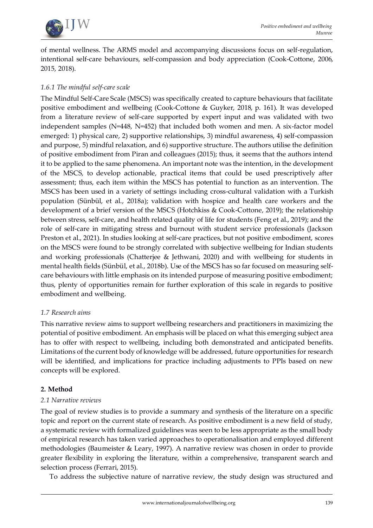

of mental wellness. The ARMS model and accompanying discussions focus on self-regulation, intentional self-care behaviours, self-compassion and body appreciation (Cook-Cottone, 2006, 2015, 2018).

# *1.6.1 The mindful self-care scale*

The Mindful Self-Care Scale (MSCS) was specifically created to capture behaviours that facilitate positive embodiment and wellbeing (Cook-Cottone & Guyker, 2018, p. 161). It was developed from a literature review of self-care supported by expert input and was validated with two independent samples (N=448, N=452) that included both women and men. A six-factor model emerged: 1) physical care, 2) supportive relationships, 3) mindful awareness, 4) self-compassion and purpose, 5) mindful relaxation, and 6) supportive structure. The authors utilise the definition of positive embodiment from Piran and colleagues (2015); thus, it seems that the authors intend it to be applied to the same phenomena. An important note was the intention, in the development of the MSCS, to develop actionable, practical items that could be used prescriptively after assessment; thus, each item within the MSCS has potential to function as an intervention. The MSCS has been used in a variety of settings including cross-cultural validation with a Turkish population (Sünbül, et al., 2018a); validation with hospice and health care workers and the development of a brief version of the MSCS (Hotchkiss & Cook-Cottone, 2019); the relationship between stress, self-care, and health related quality of life for students (Feng et al., 2019); and the role of self-care in mitigating stress and burnout with student service professionals (Jackson Preston et al., 2021). In studies looking at self-care practices, but not positive embodiment, scores on the MSCS were found to be strongly correlated with subjective wellbeing for Indian students and working professionals (Chatterjee & Jethwani, 2020) and with wellbeing for students in mental health fields (Sünbül, et al., 2018b). Use of the MSCS has so far focused on measuring selfcare behaviours with little emphasis on its intended purpose of measuring positive embodiment; thus, plenty of opportunities remain for further exploration of this scale in regards to positive embodiment and wellbeing.

### *1.7 Research aims*

This narrative review aims to support wellbeing researchers and practitioners in maximizing the potential of positive embodiment. An emphasis will be placed on what this emerging subject area has to offer with respect to wellbeing, including both demonstrated and anticipated benefits. Limitations of the current body of knowledge will be addressed, future opportunities for research will be identified, and implications for practice including adjustments to PPIs based on new concepts will be explored.

# **2. Method**

### *2.1 Narrative reviews*

The goal of review studies is to provide a summary and synthesis of the literature on a specific topic and report on the current state of research. As positive embodiment is a new field of study, a systematic review with formalized guidelines was seen to be less appropriate as the small body of empirical research has taken varied approaches to operationalisation and employed different methodologies (Baumeister & Leary, 1997). A narrative review was chosen in order to provide greater flexibility in exploring the literature, within a comprehensive, transparent search and selection process (Ferrari, 2015).

To address the subjective nature of narrative review, the study design was structured and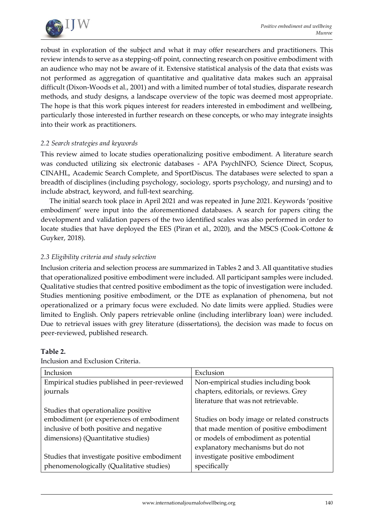

robust in exploration of the subject and what it may offer researchers and practitioners. This review intends to serve as a stepping-off point, connecting research on positive embodiment with an audience who may not be aware of it. Extensive statistical analysis of the data that exists was not performed as aggregation of quantitative and qualitative data makes such an appraisal difficult (Dixon-Woods et al., 2001) and with a limited number of total studies, disparate research methods, and study designs, a landscape overview of the topic was deemed most appropriate. The hope is that this work piques interest for readers interested in embodiment and wellbeing, particularly those interested in further research on these concepts, or who may integrate insights into their work as practitioners.

### *2.2 Search strategies and keywords*

This review aimed to locate studies operationalizing positive embodiment. A literature search was conducted utilizing six electronic databases - APA PsychINFO, Science Direct, Scopus, CINAHL, Academic Search Complete, and SportDiscus. The databases were selected to span a breadth of disciplines (including psychology, sociology, sports psychology, and nursing) and to include abstract, keyword, and full-text searching.

The initial search took place in April 2021 and was repeated in June 2021. Keywords 'positive embodiment' were input into the aforementioned databases. A search for papers citing the development and validation papers of the two identified scales was also performed in order to locate studies that have deployed the EES (Piran et al., 2020), and the MSCS (Cook-Cottone & Guyker, 2018).

### *2.3 Eligibility criteria and study selection*

Inclusion criteria and selection process are summarized in Tables 2 and 3. All quantitative studies that operationalized positive embodiment were included. All participant samples were included. Qualitative studies that centred positive embodiment as the topic of investigation were included. Studies mentioning positive embodiment, or the DTE as explanation of phenomena, but not operationalized or a primary focus were excluded. No date limits were applied. Studies were limited to English. Only papers retrievable online (including interlibrary loan) were included. Due to retrieval issues with grey literature (dissertations), the decision was made to focus on peer-reviewed, published research.

| Inclusion                                    | Exclusion                                   |
|----------------------------------------------|---------------------------------------------|
| Empirical studies published in peer-reviewed | Non-empirical studies including book        |
| journals                                     | chapters, editorials, or reviews. Grey      |
|                                              | literature that was not retrievable.        |
| Studies that operationalize positive         |                                             |
| embodiment (or experiences of embodiment     | Studies on body image or related constructs |
| inclusive of both positive and negative      | that made mention of positive embodiment    |
| dimensions) (Quantitative studies)           | or models of embodiment as potential        |
|                                              | explanatory mechanisms but do not           |
| Studies that investigate positive embodiment | investigate positive embodiment             |
| phenomenologically (Qualitative studies)     | specifically                                |

### **Table 2.**

Inclusion and Exclusion Criteria.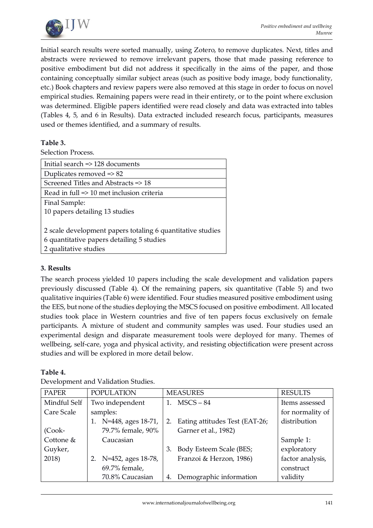

Initial search results were sorted manually, using Zotero, to remove duplicates. Next, titles and abstracts were reviewed to remove irrelevant papers, those that made passing reference to positive embodiment but did not address it specifically in the aims of the paper, and those containing conceptually similar subject areas (such as positive body image, body functionality, etc.) Book chapters and review papers were also removed at this stage in order to focus on novel empirical studies. Remaining papers were read in their entirety, or to the point where exclusion was determined. Eligible papers identified were read closely and data was extracted into tables (Tables 4, 5, and 6 in Results). Data extracted included research focus, participants, measures used or themes identified, and a summary of results.

# **Table 3.**

Selection Process.

| Initial search =>128 documents                             |
|------------------------------------------------------------|
| Duplicates removed $\Rightarrow$ 82                        |
| Screened Titles and Abstracts => 18                        |
| Read in full => 10 met inclusion criteria                  |
| Final Sample:                                              |
| 10 papers detailing 13 studies                             |
|                                                            |
| 2 scale development papers totaling 6 quantitative studies |
| 6 quantitative papers detailing 5 studies                  |
| 2 qualitative studies                                      |

### **3. Results**

The search process yielded 10 papers including the scale development and validation papers previously discussed (Table 4). Of the remaining papers, six quantitative (Table 5) and two qualitative inquiries (Table 6) were identified. Four studies measured positive embodiment using the EES, but none of the studies deploying the MSCS focused on positive embodiment. All located studies took place in Western countries and five of ten papers focus exclusively on female participants. A mixture of student and community samples was used. Four studies used an experimental design and disparate measurement tools were deployed for many. Themes of wellbeing, self-care, yoga and physical activity, and resisting objectification were present across studies and will be explored in more detail below.

### **Table 4.**

| <b>PAPER</b> | <b>POPULATION</b>        | <b>MEASURES</b>                      | <b>RESULTS</b>   |
|--------------|--------------------------|--------------------------------------|------------------|
| Mindful Self | Two independent          | $MSCS - 84$                          | Items assessed   |
| Care Scale   | samples:                 |                                      | for normality of |
|              | N=448, ages 18-71,<br>1. | Eating attitudes Test (EAT-26;<br>2. | distribution     |
| $(Cook-$     | 79.7% female, 90%        | Garner et al., 1982)                 |                  |
| Cottone &    | Caucasian                |                                      | Sample 1:        |
| Guyker,      |                          | Body Esteem Scale (BES;<br>3.        | exploratory      |
| 2018)        | N=452, ages 18-78,<br>2. | Franzoi & Herzon, 1986)              | factor analysis, |
|              | 69.7% female,            |                                      | construct        |
|              | 70.8% Caucasian          | Demographic information<br>4.        | validity         |

Development and Validation Studies.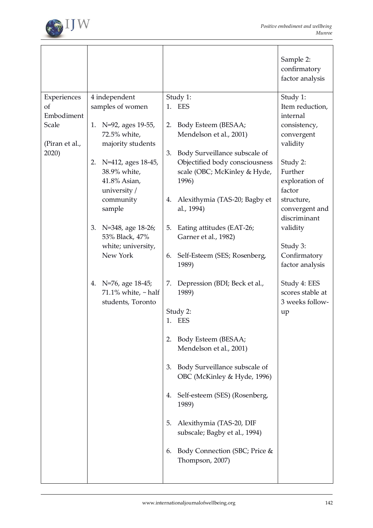

|                                                                     |                                                                                                                                                                                                                                                                                                                                                          |                                                                                                                                                                                                                                                                                                                                                                                                                                                                                                                                                                                                                                                                                                                                              | Sample 2:<br>confirmatory<br>factor analysis                                                                                                                                                                                                                                                                 |
|---------------------------------------------------------------------|----------------------------------------------------------------------------------------------------------------------------------------------------------------------------------------------------------------------------------------------------------------------------------------------------------------------------------------------------------|----------------------------------------------------------------------------------------------------------------------------------------------------------------------------------------------------------------------------------------------------------------------------------------------------------------------------------------------------------------------------------------------------------------------------------------------------------------------------------------------------------------------------------------------------------------------------------------------------------------------------------------------------------------------------------------------------------------------------------------------|--------------------------------------------------------------------------------------------------------------------------------------------------------------------------------------------------------------------------------------------------------------------------------------------------------------|
| Experiences<br>of<br>Embodiment<br>Scale<br>(Piran et al.,<br>2020) | 4 independent<br>samples of women<br>N=92, ages 19-55,<br>1.<br>72.5% white,<br>majority students<br>2. N=412, ages 18-45,<br>38.9% white,<br>41.8% Asian,<br>university /<br>community<br>sample<br>N=348, age 18-26;<br>3.<br>53% Black, 47%<br>white; university,<br>New York<br>4. N=76, age 18-45;<br>71.1% white, $\sim$ half<br>students, Toronto | Study 1:<br>1. EES<br>Body Esteem (BESAA;<br>2.<br>Mendelson et al., 2001)<br>Body Surveillance subscale of<br>3.<br>Objectified body consciousness<br>scale (OBC; McKinley & Hyde,<br>1996)<br>Alexithymia (TAS-20; Bagby et<br>4.<br>al., 1994)<br>Eating attitudes (EAT-26;<br>5.<br>Garner et al., 1982)<br>Self-Esteem (SES; Rosenberg,<br>6.<br>1989)<br>Depression (BDI; Beck et al.,<br>7.<br>1989)<br>Study 2:<br>1. EES<br>Body Esteem (BESAA;<br>2.<br>Mendelson et al., 2001)<br>Body Surveillance subscale of<br>3.<br>OBC (McKinley & Hyde, 1996)<br>Self-esteem (SES) (Rosenberg,<br>4.<br>1989)<br>Alexithymia (TAS-20, DIF<br>5.<br>subscale; Bagby et al., 1994)<br>Body Connection (SBC; Price &<br>6.<br>Thompson, 2007) | Study 1:<br>Item reduction,<br>internal<br>consistency,<br>convergent<br>validity<br>Study 2:<br>Further<br>exploration of<br>factor<br>structure,<br>convergent and<br>discriminant<br>validity<br>Study 3:<br>Confirmatory<br>factor analysis<br>Study 4: EES<br>scores stable at<br>3 weeks follow-<br>up |
|                                                                     |                                                                                                                                                                                                                                                                                                                                                          |                                                                                                                                                                                                                                                                                                                                                                                                                                                                                                                                                                                                                                                                                                                                              |                                                                                                                                                                                                                                                                                                              |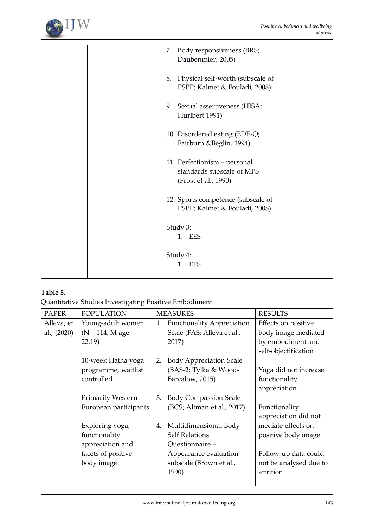

|  | 7. Body responsiveness (BRS;                              |  |
|--|-----------------------------------------------------------|--|
|  | Daubenmier, 2005)                                         |  |
|  | 8. Physical self-worth (subscale of                       |  |
|  | PSPP; Kalmet & Fouladi, 2008)                             |  |
|  |                                                           |  |
|  | 9. Sexual assertiveness (HISA;                            |  |
|  | Hurlbert 1991)                                            |  |
|  |                                                           |  |
|  | 10. Disordered eating (EDE-Q;                             |  |
|  | Fairburn & Beglin, 1994)                                  |  |
|  |                                                           |  |
|  | 11. Perfectionism - personal<br>standards subscale of MPS |  |
|  | (Frost et al., 1990)                                      |  |
|  |                                                           |  |
|  | 12. Sports competence (subscale of                        |  |
|  | PSPP; Kalmet & Fouladi, 2008)                             |  |
|  |                                                           |  |
|  | Study 3:                                                  |  |
|  | 1. EES                                                    |  |
|  |                                                           |  |
|  | Study 4:                                                  |  |
|  | EES<br>1.                                                 |  |
|  |                                                           |  |

# **Table 5.**

Quantitative Studies Investigating Positive Embodiment

| <b>PAPER</b> | <b>POPULATION</b>     |    | <b>MEASURES</b>                   | <b>RESULTS</b>         |
|--------------|-----------------------|----|-----------------------------------|------------------------|
| Alleva, et   | Young-adult women     | 1. | <b>Functionality Appreciation</b> | Effects on positive    |
| al., (2020)  | $(N = 114; M age =$   |    | Scale (FAS; Alleva et al.,        | body image mediated    |
|              | 22.19)                |    | 2017)                             | by embodiment and      |
|              |                       |    |                                   | self-objectification   |
|              | 10-week Hatha yoga    | 2. | <b>Body Appreciation Scale</b>    |                        |
|              | programme, waitlist   |    | (BAS-2; Tylka & Wood-             | Yoga did not increase  |
|              | controlled.           |    | Barcalow, 2015)                   | functionality          |
|              |                       |    |                                   | appreciation           |
|              | Primarily Western     | 3. | <b>Body Compassion Scale</b>      |                        |
|              | European participants |    | (BCS; Altman et al., 2017)        | Functionality          |
|              |                       |    |                                   | appreciation did not   |
|              | Exploring yoga,       | 4. | Multidimensional Body-            | mediate effects on     |
|              | functionality         |    | <b>Self Relations</b>             | positive body image    |
|              | appreciation and      |    | Questionnaire -                   |                        |
|              | facets of positive    |    | Appearance evaluation             | Follow-up data could   |
|              | body image            |    | subscale (Brown et al.,           | not be analysed due to |
|              |                       |    | 1990)                             | attrition              |
|              |                       |    |                                   |                        |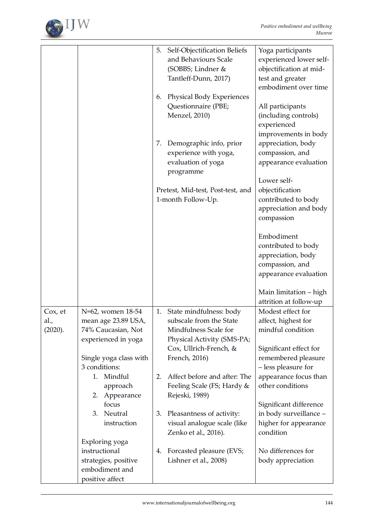

|         |                        | Self-Objectification Beliefs<br>5. | Yoga participants                  |
|---------|------------------------|------------------------------------|------------------------------------|
|         |                        | and Behaviours Scale               | experienced lower self-            |
|         |                        | (SOBBS; Lindner &                  | objectification at mid-            |
|         |                        | Tantleff-Dunn, 2017)               | test and greater                   |
|         |                        |                                    | embodiment over time               |
|         |                        | Physical Body Experiences<br>6.    |                                    |
|         |                        | Questionnaire (PBE;                | All participants                   |
|         |                        | Menzel, 2010)                      | (including controls)               |
|         |                        |                                    | experienced                        |
|         |                        |                                    | improvements in body               |
|         |                        | Demographic info, prior<br>7.      | appreciation, body                 |
|         |                        | experience with yoga,              | compassion, and                    |
|         |                        | evaluation of yoga                 | appearance evaluation              |
|         |                        | programme                          | Lower self-                        |
|         |                        | Pretest, Mid-test, Post-test, and  | objectification                    |
|         |                        | 1-month Follow-Up.                 | contributed to body                |
|         |                        |                                    | appreciation and body              |
|         |                        |                                    | compassion                         |
|         |                        |                                    |                                    |
|         |                        |                                    | Embodiment                         |
|         |                        |                                    | contributed to body                |
|         |                        |                                    | appreciation, body                 |
|         |                        |                                    | compassion, and                    |
|         |                        |                                    | appearance evaluation              |
|         |                        |                                    |                                    |
|         |                        |                                    | Main limitation – high             |
|         |                        |                                    | attrition at follow-up             |
| Cox, et | N=62, women 18-54      | State mindfulness: body<br>1.      | Modest effect for                  |
| al.,    | mean age 23.89 USA,    | subscale from the State            | affect, highest for                |
| (2020). | 74% Caucasian, Not     | Mindfulness Scale for              | mindful condition                  |
|         | experienced in yoga    | Physical Activity (SMS-PA;         |                                    |
|         |                        | Cox, Ullrich-French, &             | Significant effect for             |
|         | Single yoga class with | French, 2016)                      | remembered pleasure                |
|         | 3 conditions:          |                                    | - less pleasure for                |
|         | Mindful<br>1.          | 2.<br>Affect before and after: The | appearance focus than              |
|         | approach               | Feeling Scale (FS; Hardy &         | other conditions                   |
|         | Appearance<br>2.       | Rejeski, 1989)                     |                                    |
|         | focus<br>Neutral<br>3. | 3.                                 | Significant difference             |
|         | instruction            | Pleasantness of activity:          | in body surveillance -             |
|         |                        | visual analogue scale (like        | higher for appearance<br>condition |
|         | Exploring yoga         | Zenko et al., 2016).               |                                    |
|         | instructional          | Forcasted pleasure (EVS;<br>4.     | No differences for                 |
|         | strategies, positive   | Lishner et al., 2008)              | body appreciation                  |
|         | embodiment and         |                                    |                                    |
|         | positive affect        |                                    |                                    |
|         |                        |                                    |                                    |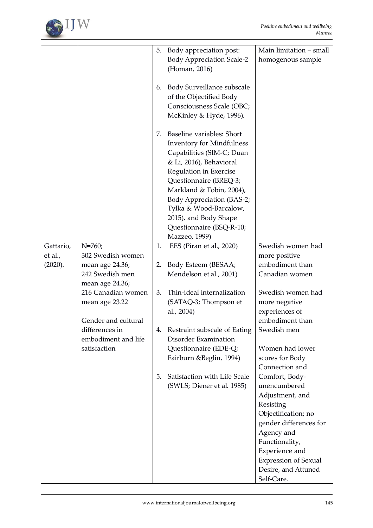

|                                 |                                                                                | 5.<br>6. | Body appreciation post:<br><b>Body Appreciation Scale-2</b><br>(Homan, 2016)<br>Body Surveillance subscale<br>of the Objectified Body                                                                                                                                                 | Main limitation - small<br>homogenous sample                                                                                                                      |
|---------------------------------|--------------------------------------------------------------------------------|----------|---------------------------------------------------------------------------------------------------------------------------------------------------------------------------------------------------------------------------------------------------------------------------------------|-------------------------------------------------------------------------------------------------------------------------------------------------------------------|
|                                 |                                                                                |          | Consciousness Scale (OBC;<br>McKinley & Hyde, 1996).                                                                                                                                                                                                                                  |                                                                                                                                                                   |
|                                 |                                                                                | 7.       | Baseline variables: Short<br><b>Inventory for Mindfulness</b><br>Capabilities (SIM-C; Duan<br>& Li, 2016), Behavioral<br>Regulation in Exercise<br>Questionnaire (BREQ-3;<br>Markland & Tobin, 2004),<br>Body Appreciation (BAS-2;<br>Tylka & Wood-Barcalow,<br>2015), and Body Shape |                                                                                                                                                                   |
|                                 |                                                                                |          | Questionnaire (BSQ-R-10;<br>Mazzeo, 1999)                                                                                                                                                                                                                                             |                                                                                                                                                                   |
| Gattario,<br>et al.,<br>(2020). | $N = 760;$<br>302 Swedish women<br>mean age 24.36;<br>242 Swedish men          | 1.<br>2. | EES (Piran et al., 2020)<br>Body Esteem (BESAA;<br>Mendelson et al., 2001)                                                                                                                                                                                                            | Swedish women had<br>more positive<br>embodiment than<br>Canadian women                                                                                           |
|                                 | mean age 24.36;<br>216 Canadian women<br>mean age 23.22<br>Gender and cultural | 3.       | Thin-ideal internalization<br>(SATAQ-3; Thompson et<br>al., 2004)                                                                                                                                                                                                                     | Swedish women had<br>more negative<br>experiences of<br>embodiment than                                                                                           |
|                                 | differences in<br>embodiment and life<br>satisfaction                          | 4.       | Restraint subscale of Eating<br>Disorder Examination<br>Questionnaire (EDE-Q;<br>Fairburn & Beglin, 1994)                                                                                                                                                                             | Swedish men<br>Women had lower<br>scores for Body<br>Connection and                                                                                               |
|                                 |                                                                                | 5.       | Satisfaction with Life Scale<br>(SWLS; Diener et al. 1985)                                                                                                                                                                                                                            | Comfort, Body-<br>unencumbered<br>Adjustment, and<br>Resisting<br>Objectification; no<br>gender differences for<br>Agency and<br>Functionality,<br>Experience and |
|                                 |                                                                                |          |                                                                                                                                                                                                                                                                                       | <b>Expression of Sexual</b><br>Desire, and Attuned<br>Self-Care.                                                                                                  |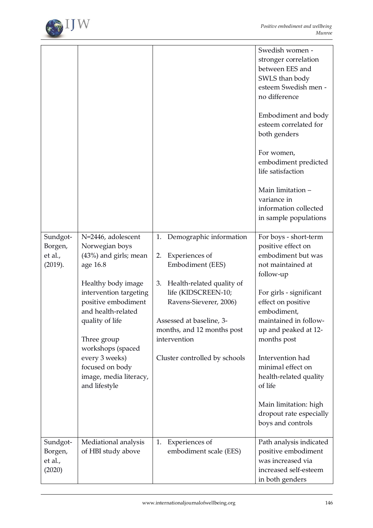

|                                           |                                                                                                                                                                                                                                                                                                                 |                                                                                                                                                                                                                                                                          | Swedish women -<br>stronger correlation<br>between EES and<br>SWLS than body<br>esteem Swedish men -<br>no difference<br>Embodiment and body<br>esteem correlated for<br>both genders<br>For women,<br>embodiment predicted<br>life satisfaction<br>Main limitation -<br>variance in<br>information collected<br>in sample populations                                |
|-------------------------------------------|-----------------------------------------------------------------------------------------------------------------------------------------------------------------------------------------------------------------------------------------------------------------------------------------------------------------|--------------------------------------------------------------------------------------------------------------------------------------------------------------------------------------------------------------------------------------------------------------------------|-----------------------------------------------------------------------------------------------------------------------------------------------------------------------------------------------------------------------------------------------------------------------------------------------------------------------------------------------------------------------|
| Sundgot-<br>Borgen,<br>et al.,<br>(2019). | N=2446, adolescent<br>Norwegian boys<br>$(43%)$ and girls; mean<br>age 16.8<br>Healthy body image<br>intervention targeting<br>positive embodiment<br>and health-related<br>quality of life<br>Three group<br>workshops (spaced<br>every 3 weeks)<br>focused on body<br>image, media literacy,<br>and lifestyle | Demographic information<br>1.<br>Experiences of<br>2.<br>Embodiment (EES)<br>Health-related quality of<br>3.<br>life (KIDSCREEN-10;<br>Ravens-Sieverer, 2006)<br>Assessed at baseline, 3-<br>months, and 12 months post<br>intervention<br>Cluster controlled by schools | For boys - short-term<br>positive effect on<br>embodiment but was<br>not maintained at<br>follow-up<br>For girls - significant<br>effect on positive<br>embodiment,<br>maintained in follow-<br>up and peaked at 12-<br>months post<br>Intervention had<br>minimal effect on<br>health-related quality<br>of life<br>Main limitation: high<br>dropout rate especially |
| Sundgot-<br>Borgen,<br>et al.,<br>(2020)  | Mediational analysis<br>of HBI study above                                                                                                                                                                                                                                                                      | Experiences of<br>1.<br>embodiment scale (EES)                                                                                                                                                                                                                           | boys and controls<br>Path analysis indicated<br>positive embodiment<br>was increased via<br>increased self-esteem<br>in both genders                                                                                                                                                                                                                                  |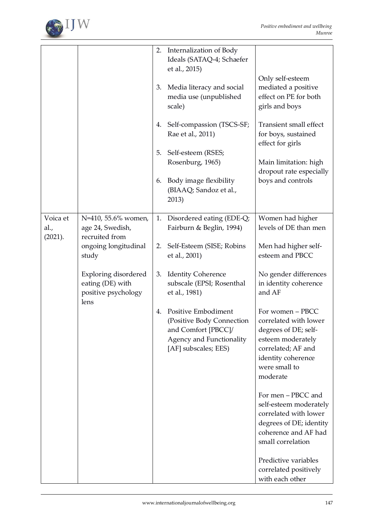

|                  |                                                                                | 2. | Internalization of Body<br>Ideals (SATAQ-4; Schaefer<br>et al., 2015)                                                       |                                                                                                                                                                 |
|------------------|--------------------------------------------------------------------------------|----|-----------------------------------------------------------------------------------------------------------------------------|-----------------------------------------------------------------------------------------------------------------------------------------------------------------|
|                  |                                                                                | 3. | Media literacy and social<br>media use (unpublished<br>scale)                                                               | Only self-esteem<br>mediated a positive<br>effect on PE for both<br>girls and boys                                                                              |
|                  |                                                                                | 4. | Self-compassion (TSCS-SF;<br>Rae et al., 2011)                                                                              | Transient small effect<br>for boys, sustained<br>effect for girls                                                                                               |
|                  |                                                                                | 5. | Self-esteem (RSES;<br>Rosenburg, 1965)                                                                                      | Main limitation: high                                                                                                                                           |
|                  |                                                                                | 6. | Body image flexibility<br>(BIAAQ; Sandoz et al.,<br>2013)                                                                   | dropout rate especially<br>boys and controls                                                                                                                    |
| Voica et<br>al., | N=410, 55.6% women,<br>age 24, Swedish,                                        | 1. | Disordered eating (EDE-Q;<br>Fairburn & Beglin, 1994)                                                                       | Women had higher<br>levels of DE than men                                                                                                                       |
| (2021).          | recruited from<br>ongoing longitudinal<br>study                                | 2. | Self-Esteem (SISE; Robins<br>et al., 2001)                                                                                  | Men had higher self-<br>esteem and PBCC                                                                                                                         |
|                  | <b>Exploring disordered</b><br>eating (DE) with<br>positive psychology<br>lens | 3. | <b>Identity Coherence</b><br>subscale (EPSI; Rosenthal<br>et al., 1981)                                                     | No gender differences<br>in identity coherence<br>and AF                                                                                                        |
|                  |                                                                                | 4. | Positive Embodiment<br>(Positive Body Connection<br>and Comfort [PBCC]/<br>Agency and Functionality<br>[AF] subscales; EES) | For women - PBCC<br>correlated with lower<br>degrees of DE; self-<br>esteem moderately<br>correlated; AF and<br>identity coherence<br>were small to<br>moderate |
|                  |                                                                                |    |                                                                                                                             | For men - PBCC and<br>self-esteem moderately<br>correlated with lower<br>degrees of DE; identity<br>coherence and AF had<br>small correlation                   |
|                  |                                                                                |    |                                                                                                                             | Predictive variables<br>correlated positively<br>with each other                                                                                                |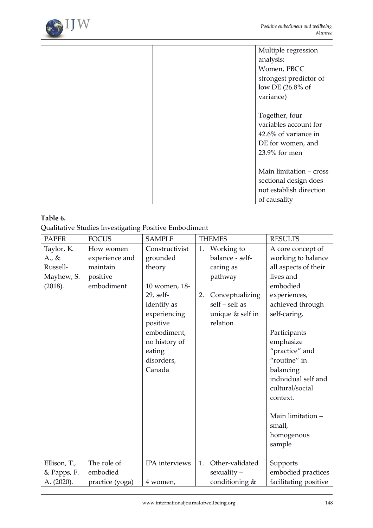

|  | Multiple regression     |
|--|-------------------------|
|  | analysis:               |
|  | Women, PBCC             |
|  | strongest predictor of  |
|  | low DE (26.8% of        |
|  | variance)               |
|  |                         |
|  | Together, four          |
|  | variables account for   |
|  | 42.6% of variance in    |
|  | DE for women, and       |
|  | 23.9% for men           |
|  |                         |
|  | Main limitation - cross |
|  | sectional design does   |
|  | not establish direction |
|  | of causality            |

# **Table 6.**

Qualitative Studies Investigating Positive Embodiment

| <b>PAPER</b> | <b>FOCUS</b>    | <b>SAMPLE</b>  |    | <b>THEMES</b>    | <b>RESULTS</b>        |
|--------------|-----------------|----------------|----|------------------|-----------------------|
| Taylor, K.   | How women       | Constructivist | 1. | Working to       | A core concept of     |
| A., &        | experience and  | grounded       |    | balance - self-  | working to balance    |
| Russell-     | maintain        | theory         |    | caring as        | all aspects of their  |
| Mayhew, S.   | positive        |                |    | pathway          | lives and             |
| (2018).      | embodiment      | 10 women, 18-  |    |                  | embodied              |
|              |                 | 29, self-      | 2. | Conceptualizing  | experiences,          |
|              |                 | identify as    |    | self - self as   | achieved through      |
|              |                 | experiencing   |    | unique & self in | self-caring.          |
|              |                 | positive       |    | relation         |                       |
|              |                 | embodiment,    |    |                  | Participants          |
|              |                 | no history of  |    |                  | emphasize             |
|              |                 | eating         |    |                  | "practice" and        |
|              |                 | disorders,     |    |                  | "routine" in          |
|              |                 | Canada         |    |                  | balancing             |
|              |                 |                |    |                  | individual self and   |
|              |                 |                |    |                  | cultural/social       |
|              |                 |                |    |                  | context.              |
|              |                 |                |    |                  |                       |
|              |                 |                |    |                  | Main limitation -     |
|              |                 |                |    |                  | small,                |
|              |                 |                |    |                  | homogenous            |
|              |                 |                |    |                  | sample                |
|              |                 |                |    |                  |                       |
| Ellison, T., | The role of     | IPA interviews | 1. | Other-validated  | Supports              |
| & Papps, F.  | embodied        |                |    | $sexuality -$    | embodied practices    |
| A. (2020).   | practice (yoga) | 4 women,       |    | conditioning &   | facilitating positive |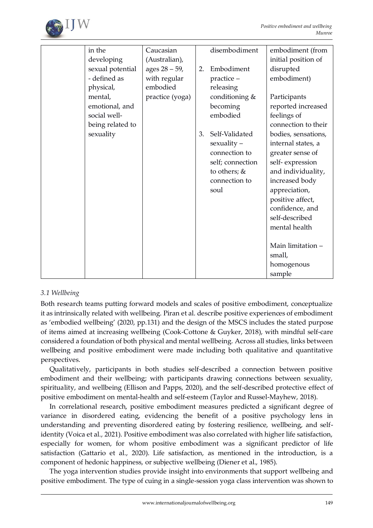

| in the           | Caucasian       |    | disembodiment    | embodiment (from    |
|------------------|-----------------|----|------------------|---------------------|
| developing       | (Australian),   |    |                  | initial position of |
| sexual potential | ages 28 - 59,   | 2. | Embodiment       | disrupted           |
| - defined as     | with regular    |    | practice -       | embodiment)         |
| physical,        | embodied        |    | releasing        |                     |
| mental,          | practice (yoga) |    | conditioning &   | Participants        |
| emotional, and   |                 |    | becoming         | reported increased  |
| social well-     |                 |    | embodied         | feelings of         |
| being related to |                 |    |                  | connection to their |
| sexuality        |                 | 3. | Self-Validated   | bodies, sensations, |
|                  |                 |    | $sexuality -$    | internal states, a  |
|                  |                 |    | connection to    | greater sense of    |
|                  |                 |    | self; connection | self-expression     |
|                  |                 |    | to others; &     | and individuality,  |
|                  |                 |    | connection to    | increased body      |
|                  |                 |    | soul             | appreciation,       |
|                  |                 |    |                  | positive affect,    |
|                  |                 |    |                  | confidence, and     |
|                  |                 |    |                  | self-described      |
|                  |                 |    |                  | mental health       |
|                  |                 |    |                  |                     |
|                  |                 |    |                  | Main limitation -   |
|                  |                 |    |                  | small,              |
|                  |                 |    |                  | homogenous          |
|                  |                 |    |                  | sample              |

# *3.1 Wellbeing*

Both research teams putting forward models and scales of positive embodiment, conceptualize it as intrinsically related with wellbeing. Piran et al. describe positive experiences of embodiment as 'embodied wellbeing' (2020, pp.131) and the design of the MSCS includes the stated purpose of items aimed at increasing wellbeing (Cook-Cottone & Guyker, 2018), with mindful self-care considered a foundation of both physical and mental wellbeing. Across all studies, links between wellbeing and positive embodiment were made including both qualitative and quantitative perspectives.

Qualitatively, participants in both studies self-described a connection between positive embodiment and their wellbeing; with participants drawing connections between sexuality, spirituality, and wellbeing (Ellison and Papps, 2020), and the self-described protective effect of positive embodiment on mental-health and self-esteem (Taylor and Russel-Mayhew, 2018).

In correlational research, positive embodiment measures predicted a significant degree of variance in disordered eating, evidencing the benefit of a positive psychology lens in understanding and preventing disordered eating by fostering resilience, wellbeing, and selfidentity (Voica et al., 2021). Positive embodiment was also correlated with higher life satisfaction, especially for women, for whom positive embodiment was a significant predictor of life satisfaction (Gattario et al., 2020). Life satisfaction, as mentioned in the introduction, is a component of hedonic happiness, or subjective wellbeing (Diener et al., 1985).

The yoga intervention studies provide insight into environments that support wellbeing and positive embodiment. The type of cuing in a single-session yoga class intervention was shown to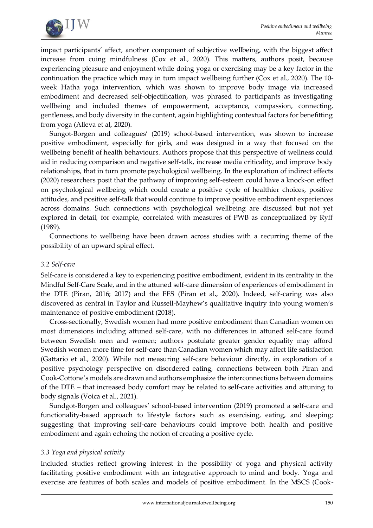

impact participants' affect, another component of subjective wellbeing, with the biggest affect increase from cuing mindfulness (Cox et al., 2020). This matters, authors posit, because experiencing pleasure and enjoyment while doing yoga or exercising may be a key factor in the continuation the practice which may in turn impact wellbeing further (Cox et al., 2020). The 10 week Hatha yoga intervention, which was shown to improve body image via increased embodiment and decreased self-objectification, was phrased to participants as investigating wellbeing and included themes of empowerment, acceptance, compassion, connecting, gentleness, and body diversity in the content, again highlighting contextual factors for benefitting from yoga (Alleva et al, 2020).

Sungot-Borgen and colleagues' (2019) school-based intervention, was shown to increase positive embodiment, especially for girls, and was designed in a way that focused on the wellbeing benefit of health behaviours. Authors propose that this perspective of wellness could aid in reducing comparison and negative self-talk, increase media criticality, and improve body relationships, that in turn promote psychological wellbeing. In the exploration of indirect effects (2020) researchers posit that the pathway of improving self-esteem could have a knock-on effect on psychological wellbeing which could create a positive cycle of healthier choices, positive attitudes, and positive self-talk that would continue to improve positive embodiment experiences across domains. Such connections with psychological wellbeing are discussed but not yet explored in detail, for example, correlated with measures of PWB as conceptualized by Ryff (1989).

Connections to wellbeing have been drawn across studies with a recurring theme of the possibility of an upward spiral effect.

### *3.2 Self-care*

Self-care is considered a key to experiencing positive embodiment, evident in its centrality in the Mindful Self-Care Scale, and in the attuned self-care dimension of experiences of embodiment in the DTE (Piran, 2016; 2017) and the EES (Piran et al., 2020). Indeed, self-caring was also discovered as central in Taylor and Russell-Mayhew's qualitative inquiry into young women's maintenance of positive embodiment (2018).

Cross-sectionally, Swedish women had more positive embodiment than Canadian women on most dimensions including attuned self-care, with no differences in attuned self-care found between Swedish men and women; authors postulate greater gender equality may afford Swedish women more time for self-care than Canadian women which may affect life satisfaction (Gattario et al., 2020). While not measuring self-care behaviour directly, in exploration of a positive psychology perspective on disordered eating, connections between both Piran and Cook-Cottone's models are drawn and authors emphasize the interconnections between domains of the DTE – that increased body comfort may be related to self-care activities and attuning to body signals (Voica et al., 2021).

Sundgot-Borgen and colleagues' school-based intervention (2019) promoted a self-care and functionality-based approach to lifestyle factors such as exercising, eating, and sleeping; suggesting that improving self-care behaviours could improve both health and positive embodiment and again echoing the notion of creating a positive cycle.

### *3.3 Yoga and physical activity*

Included studies reflect growing interest in the possibility of yoga and physical activity facilitating positive embodiment with an integrative approach to mind and body. Yoga and exercise are features of both scales and models of positive embodiment. In the MSCS (Cook-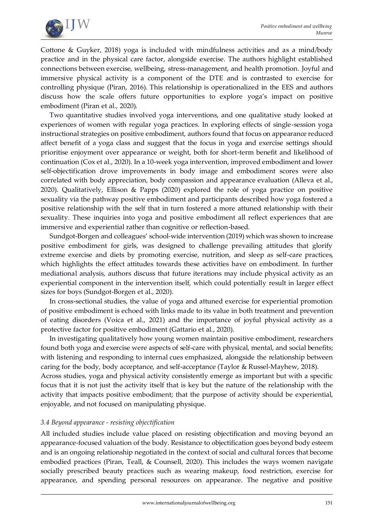

Cottone & Guyker, 2018) yoga is included with mindfulness activities and as a mind/body practice and in the physical care factor, alongside exercise. The authors highlight established connections between exercise, wellbeing, stress-management, and health promotion. Joyful and immersive physical activity is a component of the DTE and is contrasted to exercise for controlling physique (Piran, 2016). This relationship is operationalized in the EES and authors discuss how the scale offers future opportunities to explore yoga's impact on positive embodiment (Piran et al., 2020).

Two quantitative studies involved yoga interventions, and one qualitative study looked at experiences of women with regular yoga practices. In exploring effects of single-session yoga instructional strategies on positive embodiment, authors found that focus on appearance reduced affect benefit of a yoga class and suggest that the focus in yoga and exercise settings should prioritise enjoyment over appearance or weight, both for short-term benefit and likelihood of continuation (Cox et al., 2020). In a 10-week yoga intervention, improved embodiment and lower self-objectification drove improvements in body image and embodiment scores were also correlated with body appreciation, body compassion and appearance evaluation (Alleva et al., 2020). Qualitatively, Ellison & Papps (2020) explored the role of yoga practice on positive sexuality via the pathway positive embodiment and participants described how yoga fostered a positive relationship with the self that in turn fostered a more attuned relationship with their sexuality. These inquiries into yoga and positive embodiment all reflect experiences that are immersive and experiential rather than cognitive or reflection-based.

Sundgot-Borgen and colleagues' school-wide intervention (2019) which was shown to increase positive embodiment for girls, was designed to challenge prevailing attitudes that glorify extreme exercise and diets by promoting exercise, nutrition, and sleep as self-care practices, which highlights the effect attitudes towards these activities have on embodiment. In further mediational analysis, authors discuss that future iterations may include physical activity as an experiential component in the intervention itself, which could potentially result in larger effect sizes for boys (Sundgot-Borgen et al., 2020).

In cross-sectional studies, the value of yoga and attuned exercise for experiential promotion of positive embodiment is echoed with links made to its value in both treatment and prevention of eating disorders (Voica et al., 2021) and the importance of joyful physical activity as a protective factor for positive embodiment (Gattario et al., 2020).

In investigating qualitatively how young women maintain positive embodiment, researchers found both yoga and exercise were aspects of self-care with physical, mental, and social benefits; with listening and responding to internal cues emphasized, alongside the relationship between caring for the body, body acceptance, and self-acceptance (Taylor & Russel-Mayhew, 2018). Across studies, yoga and physical activity consistently emerge as important but with a specific focus that it is not just the activity itself that is key but the nature of the relationship with the activity that impacts positive embodiment; that the purpose of activity should be experiential, enjoyable, and not focused on manipulating physique.

### *3.4 Beyond appearance - resisting objectification*

All included studies include value placed on resisting objectification and moving beyond an appearance-focused valuation of the body. Resistance to objectification goes beyond body esteem and is an ongoing relationship negotiated in the context of social and cultural forces that become embodied practices (Piran, Teall, & Counsell, 2020). This includes the ways women navigate socially prescribed beauty practices such as wearing makeup, food restriction, exercise for appearance, and spending personal resources on appearance. The negative and positive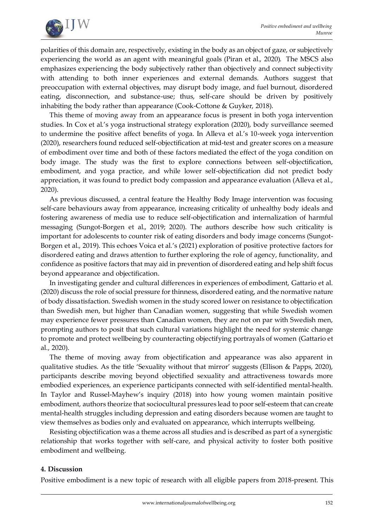

polarities of this domain are, respectively, existing in the body as an object of gaze, or subjectively experiencing the world as an agent with meaningful goals (Piran et al., 2020). The MSCS also emphasizes experiencing the body subjectively rather than objectively and connect subjectivity with attending to both inner experiences and external demands. Authors suggest that preoccupation with external objectives, may disrupt body image, and fuel burnout, disordered eating, disconnection, and substance-use; thus, self-care should be driven by positively inhabiting the body rather than appearance (Cook-Cottone & Guyker, 2018).

This theme of moving away from an appearance focus is present in both yoga intervention studies. In Cox et al.'s yoga instructional strategy exploration (2020), body surveillance seemed to undermine the positive affect benefits of yoga. In Alleva et al.'s 10-week yoga intervention (2020), researchers found reduced self-objectification at mid-test and greater scores on a measure of embodiment over time and both of these factors mediated the effect of the yoga condition on body image. The study was the first to explore connections between self-objectification, embodiment, and yoga practice, and while lower self-objectification did not predict body appreciation, it was found to predict body compassion and appearance evaluation (Alleva et al., 2020).

As previous discussed, a central feature the Healthy Body Image intervention was focusing self-care behaviours away from appearance, increasing criticality of unhealthy body ideals and fostering awareness of media use to reduce self-objectification and internalization of harmful messaging (Sungot-Borgen et al., 2019; 2020). The authors describe how such criticality is important for adolescents to counter risk of eating disorders and body image concerns (Sungot-Borgen et al., 2019). This echoes Voica et al.'s (2021) exploration of positive protective factors for disordered eating and draws attention to further exploring the role of agency, functionality, and confidence as positive factors that may aid in prevention of disordered eating and help shift focus beyond appearance and objectification.

In investigating gender and cultural differences in experiences of embodiment, Gattario et al. (2020) discuss the role of social pressure for thinness, disordered eating, and the normative nature of body dissatisfaction. Swedish women in the study scored lower on resistance to objectification than Swedish men, but higher than Canadian women, suggesting that while Swedish women may experience fewer pressures than Canadian women, they are not on par with Swedish men, prompting authors to posit that such cultural variations highlight the need for systemic change to promote and protect wellbeing by counteracting objectifying portrayals of women (Gattario et al., 2020).

The theme of moving away from objectification and appearance was also apparent in qualitative studies. As the title 'Sexuality without that mirror' suggests (Ellison & Papps, 2020), participants describe moving beyond objectified sexuality and attractiveness towards more embodied experiences, an experience participants connected with self-identified mental-health. In Taylor and Russel-Mayhew's inquiry (2018) into how young women maintain positive embodiment, authors theorize that sociocultural pressures lead to poor self-esteem that can create mental-health struggles including depression and eating disorders because women are taught to view themselves as bodies only and evaluated on appearance, which interrupts wellbeing.

Resisting objectification was a theme across all studies and is described as part of a synergistic relationship that works together with self-care, and physical activity to foster both positive embodiment and wellbeing.

### **4. Discussion**

Positive embodiment is a new topic of research with all eligible papers from 2018-present. This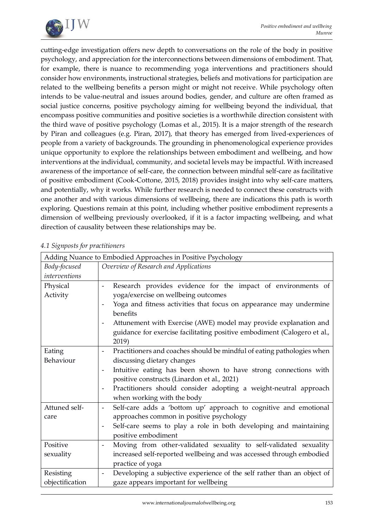

cutting-edge investigation offers new depth to conversations on the role of the body in positive psychology, and appreciation for the interconnections between dimensions of embodiment. That, for example, there is nuance to recommending yoga interventions and practitioners should consider how environments, instructional strategies, beliefs and motivations for participation are related to the wellbeing benefits a person might or might not receive. While psychology often intends to be value-neutral and issues around bodies, gender, and culture are often framed as social justice concerns, positive psychology aiming for wellbeing beyond the individual, that encompass positive communities and positive societies is a worthwhile direction consistent with the third wave of positive psychology (Lomas et al., 2015). It is a major strength of the research by Piran and colleagues (e.g. Piran, 2017), that theory has emerged from lived-experiences of people from a variety of backgrounds. The grounding in phenomenological experience provides unique opportunity to explore the relationships between embodiment and wellbeing, and how interventions at the individual, community, and societal levels may be impactful. With increased awareness of the importance of self-care, the connection between mindful self-care as facilitative of positive embodiment (Cook-Cottone, 2015, 2018) provides insight into why self-care matters, and potentially, why it works. While further research is needed to connect these constructs with one another and with various dimensions of wellbeing, there are indications this path is worth exploring. Questions remain at this point, including whether positive embodiment represents a dimension of wellbeing previously overlooked, if it is a factor impacting wellbeing, and what direction of causality between these relationships may be.

|                              | Adding Nuance to Embodied Approaches in Positive Psychology                                                                                                                                                                                                                                                                                                                      |  |  |
|------------------------------|----------------------------------------------------------------------------------------------------------------------------------------------------------------------------------------------------------------------------------------------------------------------------------------------------------------------------------------------------------------------------------|--|--|
| Body-focused                 | Overview of Research and Applications                                                                                                                                                                                                                                                                                                                                            |  |  |
| interventions                |                                                                                                                                                                                                                                                                                                                                                                                  |  |  |
| Physical<br>Activity         | Research provides evidence for the impact of environments of<br>$\overline{\phantom{a}}$<br>yoga/exercise on wellbeing outcomes<br>Yoga and fitness activities that focus on appearance may undermine<br>benefits<br>Attunement with Exercise (AWE) model may provide explanation and<br>guidance for exercise facilitating positive embodiment (Calogero et al.,<br>2019)       |  |  |
| Eating<br>Behaviour          | Practitioners and coaches should be mindful of eating pathologies when<br>discussing dietary changes<br>Intuitive eating has been shown to have strong connections with<br>$\overline{\phantom{a}}$<br>positive constructs (Linardon et al., 2021)<br>Practitioners should consider adopting a weight-neutral approach<br>$\overline{\phantom{0}}$<br>when working with the body |  |  |
| Attuned self-<br>care        | Self-care adds a 'bottom up' approach to cognitive and emotional<br>$\overline{\phantom{a}}$<br>approaches common in positive psychology<br>Self-care seems to play a role in both developing and maintaining<br>positive embodiment                                                                                                                                             |  |  |
| Positive<br>sexuality        | Moving from other-validated sexuality to self-validated sexuality<br>increased self-reported wellbeing and was accessed through embodied<br>practice of yoga                                                                                                                                                                                                                     |  |  |
| Resisting<br>objectification | Developing a subjective experience of the self rather than an object of<br>$\overline{\phantom{a}}$<br>gaze appears important for wellbeing                                                                                                                                                                                                                                      |  |  |

### *4.1 Signposts for practitioners*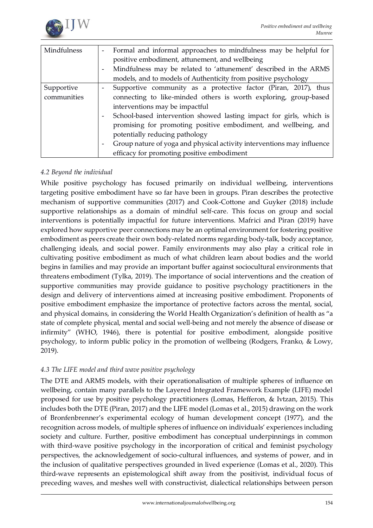

| Mindfulness | Formal and informal approaches to mindfulness may be helpful for                             |
|-------------|----------------------------------------------------------------------------------------------|
|             | positive embodiment, attunement, and wellbeing                                               |
|             | Mindfulness may be related to 'attunement' described in the ARMS<br>$\overline{\phantom{a}}$ |
|             | models, and to models of Authenticity from positive psychology                               |
| Supportive  | Supportive community as a protective factor (Piran, 2017), thus                              |
| communities | connecting to like-minded others is worth exploring, group-based                             |
|             | interventions may be impactful                                                               |
|             | School-based intervention showed lasting impact for girls, which is                          |
|             | promising for promoting positive embodiment, and wellbeing, and                              |
|             | potentially reducing pathology                                                               |
|             | Group nature of yoga and physical activity interventions may influence<br>$\sim$             |
|             | efficacy for promoting positive embodiment                                                   |

# *4.2 Beyond the individual*

While positive psychology has focused primarily on individual wellbeing, interventions targeting positive embodiment have so far have been in groups. Piran describes the protective mechanism of supportive communities (2017) and Cook-Cottone and Guyker (2018) include supportive relationships as a domain of mindful self-care. This focus on group and social interventions is potentially impactful for future interventions. Mafrici and Piran (2019) have explored how supportive peer connections may be an optimal environment for fostering positive embodiment as peers create their own body-related norms regarding body-talk, body acceptance, challenging ideals, and social power. Family environments may also play a critical role in cultivating positive embodiment as much of what children learn about bodies and the world begins in families and may provide an important buffer against sociocultural environments that threatens embodiment (Tylka, 2019). The importance of social interventions and the creation of supportive communities may provide guidance to positive psychology practitioners in the design and delivery of interventions aimed at increasing positive embodiment. Proponents of positive embodiment emphasize the importance of protective factors across the mental, social, and physical domains, in considering the World Health Organization's definition of health as "a state of complete physical, mental and social well-being and not merely the absence of disease or infirmity" (WHO, 1946), there is potential for positive embodiment, alongside positive psychology, to inform public policy in the promotion of wellbeing (Rodgers, Franko, & Lowy, 2019).

### *4.3 The LIFE model and third wave positive psychology*

The DTE and ARMS models, with their operationalisation of multiple spheres of influence on wellbeing, contain many parallels to the Layered Integrated Framework Example (LIFE) model proposed for use by positive psychology practitioners (Lomas, Hefferon, & Ivtzan, 2015). This includes both the DTE (Piran, 2017) and the LIFE model (Lomas et al., 2015) drawing on the work of Bronfenbrenner's experimental ecology of human development concept (1977), and the recognition across models, of multiple spheres of influence on individuals' experiences including society and culture. Further, positive embodiment has conceptual underpinnings in common with third-wave positive psychology in the incorporation of critical and feminist psychology perspectives, the acknowledgement of socio-cultural influences, and systems of power, and in the inclusion of qualitative perspectives grounded in lived experience (Lomas et al., 2020). This third-wave represents an epistemological shift away from the positivist, individual focus of preceding waves, and meshes well with constructivist, dialectical relationships between person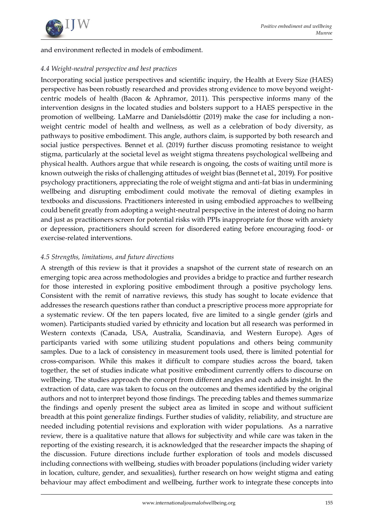

and environment reflected in models of embodiment.

## *4.4 Weight-neutral perspective and best practices*

Incorporating social justice perspectives and scientific inquiry, the Health at Every Size (HAES) perspective has been robustly researched and provides strong evidence to move beyond weightcentric models of health (Bacon & Aphramor, 2011). This perspective informs many of the intervention designs in the located studies and bolsters support to a HAES perspective in the promotion of wellbeing. LaMarre and Daníelsdóttir (2019) make the case for including a nonweight centric model of health and wellness, as well as a celebration of body diversity, as pathways to positive embodiment. This angle, authors claim, is supported by both research and social justice perspectives. Bennet et al. (2019) further discuss promoting resistance to weight stigma, particularly at the societal level as weight stigma threatens psychological wellbeing and physical health. Authors argue that while research is ongoing, the costs of waiting until more is known outweigh the risks of challenging attitudes of weight bias (Bennet et al., 2019). For positive psychology practitioners, appreciating the role of weight stigma and anti-fat bias in undermining wellbeing and disrupting embodiment could motivate the removal of dieting examples in textbooks and discussions. Practitioners interested in using embodied approaches to wellbeing could benefit greatly from adopting a weight-neutral perspective in the interest of doing no harm and just as practitioners screen for potential risks with PPIs inappropriate for those with anxiety or depression, practitioners should screen for disordered eating before encouraging food- or exercise-related interventions.

# *4.5 Strengths, limitations, and future directions*

A strength of this review is that it provides a snapshot of the current state of research on an emerging topic area across methodologies and provides a bridge to practice and further research for those interested in exploring positive embodiment through a positive psychology lens. Consistent with the remit of narrative reviews, this study has sought to locate evidence that addresses the research questions rather than conduct a prescriptive process more appropriate for a systematic review. Of the ten papers located, five are limited to a single gender (girls and women). Participants studied varied by ethnicity and location but all research was performed in Western contexts (Canada, USA, Australia, Scandinavia, and Western Europe). Ages of participants varied with some utilizing student populations and others being community samples. Due to a lack of consistency in measurement tools used, there is limited potential for cross-comparison. While this makes it difficult to compare studies across the board, taken together, the set of studies indicate what positive embodiment currently offers to discourse on wellbeing. The studies approach the concept from different angles and each adds insight. In the extraction of data, care was taken to focus on the outcomes and themes identified by the original authors and not to interpret beyond those findings. The preceding tables and themes summarize the findings and openly present the subject area as limited in scope and without sufficient breadth at this point generalize findings. Further studies of validity, reliability, and structure are needed including potential revisions and exploration with wider populations. As a narrative review, there is a qualitative nature that allows for subjectivity and while care was taken in the reporting of the existing research, it is acknowledged that the researcher impacts the shaping of the discussion. Future directions include further exploration of tools and models discussed including connections with wellbeing, studies with broader populations (including wider variety in location, culture, gender, and sexualities), further research on how weight stigma and eating behaviour may affect embodiment and wellbeing, further work to integrate these concepts into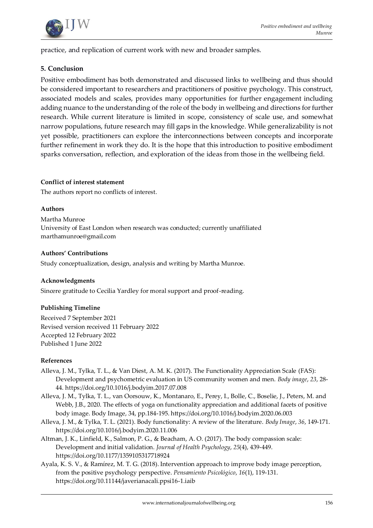

practice, and replication of current work with new and broader samples.

### **5. Conclusion**

Positive embodiment has both demonstrated and discussed links to wellbeing and thus should be considered important to researchers and practitioners of positive psychology. This construct, associated models and scales, provides many opportunities for further engagement including adding nuance to the understanding of the role of the body in wellbeing and directions for further research. While current literature is limited in scope, consistency of scale use, and somewhat narrow populations, future research may fill gaps in the knowledge. While generalizability is not yet possible, practitioners can explore the interconnections between concepts and incorporate further refinement in work they do. It is the hope that this introduction to positive embodiment sparks conversation, reflection, and exploration of the ideas from those in the wellbeing field.

### **Conflict of interest statement**

The authors report no conflicts of interest.

### **Authors**

Martha Munroe University of East London when research was conducted; currently unaffiliated marthamunroe@gmail.com

### **Authors' Contributions**

Study conceptualization, design, analysis and writing by Martha Munroe.

### **Acknowledgments**

Sincere gratitude to Cecilia Yardley for moral support and proof-reading.

### **Publishing Timeline**

Received 7 September 2021 Revised version received 11 February 2022 Accepted 12 February 2022 Published 1 June 2022

#### **References**

- Alleva, J. M., Tylka, T. L., & Van Diest, A. M. K. (2017). The Functionality Appreciation Scale (FAS): Development and psychometric evaluation in US community women and men. *Body image*, *23*, 28- 44.<https://doi.org/10.1016/j.bodyim.2017.07.008>
- Alleva, J. M., Tylka, T. L., van Oorsouw, K., Montanaro, E., Perey, I., Bolle, C., Boselie, J., Peters, M. and Webb, J.B., 2020. The effects of yoga on functionality appreciation and additional facets of positive body image. Body Image, 34, pp.184-195[. https://doi.org/10.1016/j.bodyim.2020.06.003](https://doi.org/10.1016/j.bodyim.2020.06.003)
- Alleva, J. M., & Tylka, T. L. (2021). Body functionality: A review of the literature. *Body Image*, *36*, 149-171. <https://doi.org/10.1016/j.bodyim.2020.11.006>
- Altman, J. K., Linfield, K., Salmon, P. G., & Beacham, A. O. (2017). The body compassion scale: Development and initial validation. *Journal of Health Psychology*, *25*(4), 439-449. <https://doi.org/10.1177/1359105317718924>
- Ayala, K. S. V., & Ramírez, M. T. G. (2018). Intervention approach to improve body image perception, from the positive psychology perspective. *Pensamiento Psicológico*, *16*(1), 119-131. <https://doi.org/10.11144/javerianacali.ppsi16-1.iaib>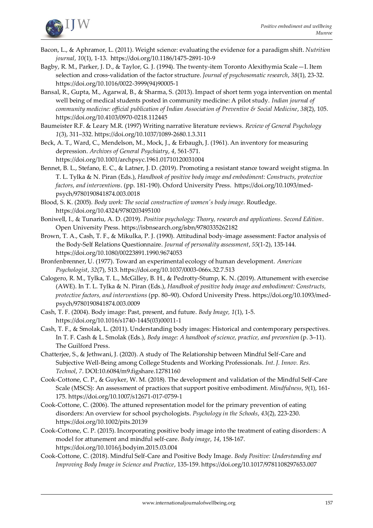

- Bacon, L., & Aphramor, L. (2011). Weight science: evaluating the evidence for a paradigm shift. *Nutrition journal*, *10*(1), 1-13[. https://doi.org/10.1186/1475-2891-10-9](file:///C:/Users/marthamunroe/Downloads/ https:/doi.org/10.1186/1475-2891-10-9 )
- Bagby, R. M., Parker, J. D., & Taylor, G. J. (1994). The twenty-item Toronto Alexithymia Scale—I. Item selection and cross-validation of the factor structure. *Journal of psychosomatic research*, *38*(1), 23-32. [https://doi.org/10.1016/0022-3999\(94\)90005-1](https://doi.org/10.1016/0022-3999(94)90005-1 )
- Bansal, R., Gupta, M., Agarwal, B., & Sharma, S. (2013). Impact of short term yoga intervention on mental well being of medical students posted in community medicine: A pilot study. *Indian journal of community medicine: official publication of Indian Association of Preventive & Social Medicine*, *38*(2), 105. <https://doi.org/10.4103/0970-0218.112445>

Baumeister R.F. & Leary M.R. (1997) Writing narrative literature reviews. *Review of General Psychology 1*(3), 311–332[. https://doi.org/10.1037/1089-2680.1.3.311](https://doi.org/10.1037%2F1089-2680.1.3.311)

Beck, A. T., Ward, C., Mendelson, M., Mock, J., & Erbaugh, J. (1961). An inventory for measuring depression. *Archives of General Psychiatry*, *4*, 561-571. <https://doi.org/10.1001/archpsyc.1961.01710120031004>

Bennet, B. L., Stefano, E. C., & Latner, J. D. (2019). Promoting a resistant stance toward weight stigma. In T. L. Tylka & N. Piran (Eds.), *Handbook of positive body image and embodiment: Constructs, protective factors, and interventions*. (pp. 181-190). Oxford University Press[. https://doi.org/10.1093/med](file:///C:/Users/marthamunroe/Downloads/ https:/doi.org/10.1093/med-psych/9780190841874.003.0018 )[psych/9780190841874.003.0018](file:///C:/Users/marthamunroe/Downloads/ https:/doi.org/10.1093/med-psych/9780190841874.003.0018 )

Blood, S. K. (2005). *Body work: The social construction of women's body image*. Routledge. <https://doi.org/10.4324/9780203495100>

- Boniwell, I., & Tunariu, A. D. (2019). *Positive psychology: Theory, research and applications. Second Edition*. Open University Press[. https://isbnsearch.org/isbn/9780335262182](https://isbnsearch.org/isbn/9780335262182)
- Brown, T. A., Cash, T. F., & Mikulka, P. J. (1990). Attitudinal body-image assessment: Factor analysis of the Body-Self Relations Questionnaire. *Journal of personality assessment*, *55*(1-2), 135-144. <https://doi.org/10.1080/00223891.1990.9674053>
- Bronfenbrenner, U. (1977). Toward an experimental ecology of human development. *American Psychologist*, *32*(7), 513[. https://doi.org/10.1037/0003-066x.32.7.513](https://doi.org/10.1037/0003-066x.32.7.513)
- Calogero, R. M., Tylka, T. L., McGilley, B. H., & Pedrotty-Stump, K. N. (2019). Attunement with exercise (AWE). In T. L. Tylka & N. Piran (Eds.), *Handbook of positive body image and embodiment: Constructs, protective factors, and interventions* (pp. 80–90). Oxford University Press[. https://doi.org/10.1093/med](https://doi.org/10.1093/med-psych/9780190841874.003.0009)[psych/9780190841874.003.0009](https://doi.org/10.1093/med-psych/9780190841874.003.0009)
- Cash, T. F. (2004). Body image: Past, present, and future. *Body Image, 1*(1), 1-5. [https://doi.org/10.1016/s1740-1445\(03\)00011-1](https://doi.org/10.1016/s1740-1445(03)00011-1)
- Cash, T. F., & Smolak, L. (2011). Understanding body images: Historical and contemporary perspectives. In T. F. Cash & L. Smolak (Eds.), *Body image: A handbook of science, practice, and prevention*(p. 3–11). The Guilford Press.
- Chatterjee, S., & Jethwani, J. (2020). A study of The Relationship between Mindful Self-Care and Subjective Well-Being among College Students and Working Professionals. *Int. J. Innov. Res. Technol*, *7*. DO[I:10.6084/m9.figshare.12781160](http://dx.doi.org/10.6084/m9.figshare.12781160)
- Cook-Cottone, C. P., & Guyker, W. M. (2018). The development and validation of the Mindful Self-Care Scale (MSCS): An assessment of practices that support positive embodiment. *Mindfulness*, *9*(1), 161- 175.<https://doi.org/10.1007/s12671-017-0759-1>
- Cook-Cottone, C. (2006). The attuned representation model for the primary prevention of eating disorders: An overview for school psychologists. *Psychology in the Schools*, *43*(2), 223-230. <https://doi.org/10.1002/pits.20139>
- Cook-Cottone, C. P. (2015). Incorporating positive body image into the treatment of eating disorders: A model for attunement and mindful self-care. *Body image*, *14*, 158-167. <https://doi.org/10.1016/j.bodyim.2015.03.004>
- Cook-Cottone, C. (2018). Mindful Self-Care and Positive Body Image. *Body Positive: Understanding and Improving Body Image in Science and Practice*, 135-159[. https://doi.org/10.1017/9781108297653.007](https://doi.org/10.1017/9781108297653.007)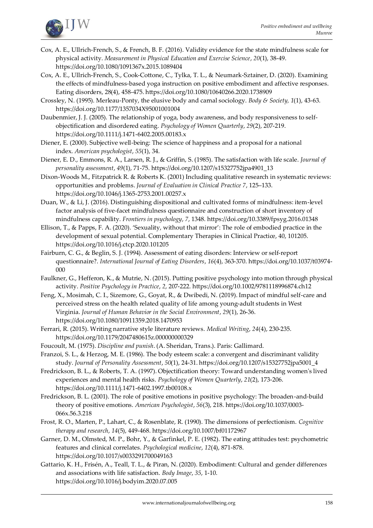

- Cox, A. E., Ullrich-French, S., & French, B. F. (2016). Validity evidence for the state mindfulness scale for physical activity. *Measurement in Physical Education and Exercise Science*, *20*(1), 38-49. <https://doi.org/10.1080/1091367x.2015.1089404>
- Cox, A. E., Ullrich-French, S., Cook-Cottone, C., Tylka, T. L., & Neumark-Sztainer, D. (2020). Examining the effects of mindfulness-based yoga instruction on positive embodiment and affective responses. Eating disorders, 28(4), 458-475[. https://doi.org/10.1080/10640266.2020.1738909](https://doi.org/10.1080/10640266.2020.1738909)
- Crossley, N. (1995). Merleau-Ponty, the elusive body and carnal sociology. *Body & Society, 1*(1), 43-63. <https://doi.org/10.1177/1357034X95001001004>
- Daubenmier, J. J. (2005). The relationship of yoga, body awareness, and body responsiveness to selfobjectification and disordered eating. *Psychology of Women Quarterly*, *29*(2), 207-219. [https://doi.org/10.1111/j.1471-6402.2005.00183.x](https://doi.org/10.1111/j.1471-6402.2005.00183.x )
- Diener, E. (2000). Subjective well-being: The science of happiness and a proposal for a national index. *American psychologist*, *55*(1), 34.
- Diener, E. D., Emmons, R. A., Larsen, R. J., & Griffin, S. (1985). The satisfaction with life scale. *Journal of personality assessment*, *49*(1), 71-75[. https://doi.org/10.1207/s15327752jpa4901\\_13](https://doi.org/10.1207/s15327752jpa4901_13)
- Dixon-Woods M., Fitzpatrick R. & Roberts K. (2001) Including qualitative research in systematic reviews: opportunities and problems. *Journal of Evaluation in Clinical Practice 7*, 125–133. <https://doi.org/10.1046/j.1365-2753.2001.00257.x>
- Duan, W., & Li, J. (2016). Distinguishing dispositional and cultivated forms of mindfulness: item-level factor analysis of five-facet mindfulness questionnaire and construction of short inventory of mindfulness capability. *Frontiers in psychology*, *7*, 1348[. https://doi.org/10.3389/fpsyg.2016.01348](https://doi.org/10.3389/fpsyg.2016.01348)
- Ellison, T., & Papps, F. A. (2020). 'Sexuality, without that mirror': The role of embodied practice in the development of sexual potential. Complementary Therapies in Clinical Practice, 40, 101205. <https://doi.org/10.1016/j.ctcp.2020.101205>
- Fairburn, C. G., & Beglin, S. J. (1994). Assessment of eating disorders: Interview or self-report questionnaire?. *International Journal of Eating Disorders*, *16*(4), 363-370[. https://doi.org/10.1037/t03974-](https://doi.org/10.1037/t03974-000) [000](https://doi.org/10.1037/t03974-000)
- Faulkner, G., Hefferon, K., & Mutrie, N. (2015). Putting positive psychology into motion through physical activity. *Positive Psychology in Practice*, *2*, 207-222[. https://doi.org/10.1002/9781118996874.ch12](https://doi.org/10.1002/9781118996874.ch12)
- Feng, X., Mosimah, C. I., Sizemore, G., Goyat, R., & Dwibedi, N. (2019). Impact of mindful self-care and perceived stress on the health related quality of life among young-adult students in West Virginia. *Journal of Human Behavior in the Social Environment*, *29*(1), 26-36. <https://doi.org/10.1080/10911359.2018.1470953>
- Ferrari, R. (2015). Writing narrative style literature reviews. *Medical Writing*, *24*(4), 230-235. <https://doi.org/10.1179/2047480615z.000000000329>
- Foucoult, M. (1975). *Discipline and punish*. (A. Sheridan, Trans.). Paris: Gallimard.
- Franzoi, S. L., & Herzog, M. E. (1986). The body esteem scale: a convergent and discriminant validity study. *Journal of Personality Assessment*, *50*(1), 24-31[. https://doi.org/10.1207/s15327752jpa5001\\_4](https://doi.org/10.1207/s15327752jpa5001_4)
- Fredrickson, B. L., & Roberts, T. A. (1997). Objectification theory: Toward understanding women's lived experiences and mental health risks. *Psychology of Women Quarterly*, *21*(2), 173-206. <https://doi.org/10.1111/j.1471-6402.1997.tb00108.x>
- Fredrickson, B. L. (2001). The role of positive emotions in positive psychology: The broaden-and-build theory of positive emotions. *American Psychologist*, *56*(3), 218[. https://doi.org/10.1037/0003-](https://doi.org/10.1037/0003-066x.56.3.218) [066x.56.3.218](https://doi.org/10.1037/0003-066x.56.3.218)
- Frost, R. O., Marten, P., Lahart, C., & Rosenblate, R. (1990). The dimensions of perfectionism. *Cognitive therapy and research*, *14*(5), 449-468[. https://doi.org/10.1007/bf01172967](https://doi.org/10.1007/bf01172967)
- Garner, D. M., Olmsted, M. P., Bohr, Y., & Garfinkel, P. E. (1982). The eating attitudes test: psychometric features and clinical correlates. *Psychological medicine*, *12*(4), 871-878. <https://doi.org/10.1017/s0033291700049163>
- Gattario, K. H., Frisén, A., Teall, T. L., & Piran, N. (2020). Embodiment: Cultural and gender differences and associations with life satisfaction. *Body Image*, *35*, 1-10. <https://doi.org/10.1016/j.bodyim.2020.07.005>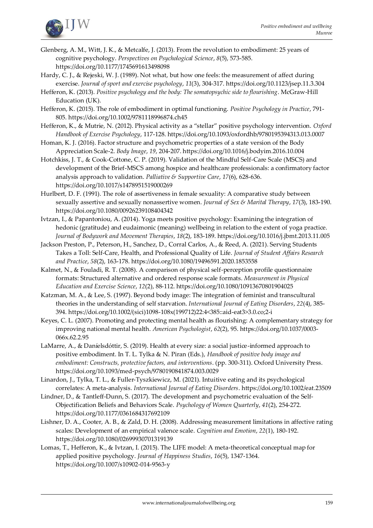

- Glenberg, A. M., Witt, J. K., & Metcalfe, J. (2013). From the revolution to embodiment: 25 years of cognitive psychology. *Perspectives on Psychological Science*, *8*(5), 573-585. <https://doi.org/10.1177/1745691613498098>
- Hardy, C. J., & Rejeski, W. J. (1989). Not what, but how one feels: the measurement of affect during exercise. *Journal of sport and exercise psychology*, *11*(3), 304-317[. https://doi.org/10.1123/jsep.11.3.304](https://doi.org/10.1123/jsep.11.3.304)
- Hefferon, K. (2013). *Positive psychology and the body: The somatopsychic side to flourishing*. McGraw-Hill Education (UK).
- Hefferon, K. (2015). The role of embodiment in optimal functioning. *Positive Psychology in Practice*, 791- 805. [https://doi.org/10.1002/9781118996874.ch45](https://doi.org/10.1002/9781118996874.ch45 )
- Hefferon, K., & Mutrie, N. (2012). Physical activity as a "stellar" positive psychology intervention. *Oxford Handbook of Exercise Psychology*, 117-128[. https://doi.org/10.1093/oxfordhb/9780195394313.013.0007](https://doi.org/10.1093/oxfordhb/9780195394313.013.0007)
- Homan, K. J. (2016). Factor structure and psychometric properties of a state version of the Body Appreciation Scale-2. *Body Image*, *19*, 204-207[. https://doi.org/10.1016/j.bodyim.2016.10.004](https://doi.org/10.1016/j.bodyim.2016.10.004 %20 )
- Hotchkiss, J. T., & Cook-Cottone, C. P. (2019). Validation of the Mindful Self-Care Scale (MSCS) and development of the Brief-MSCS among hospice and healthcare professionals: a confirmatory factor analysis approach to validation. *Palliative & Supportive Care*, *17*(6), 628-636. <https://doi.org/10.1017/s1478951519000269>
- Hurlbert, D. F. (1991). The role of assertiveness in female sexuality: A comparative study between sexually assertive and sexually nonassertive women. *Journal of Sex & Marital Therapy*, *17*(3), 183-190. <https://doi.org/10.1080/00926239108404342>
- Ivtzan, I., & Papantoniou, A. (2014). Yoga meets positive psychology: Examining the integration of hedonic (gratitude) and eudaimonic (meaning) wellbeing in relation to the extent of yoga practice. *Journal of Bodywork and Movement Therapies*, *18*(2), 183-189[. https://doi.org/10.1016/j.jbmt.2013.11.005](https://doi.org/10.1016/j.jbmt.2013.11.005)
- Jackson Preston, P., Peterson, H., Sanchez, D., Corral Carlos, A., & Reed, A. (2021). Serving Students Takes a Toll: Self-Care, Health, and Professional Quality of Life. *Journal of Student Affairs Research and Practice*, *58*(2), 163-178[. https://doi.org/10.1080/19496591.2020.1853558](https://doi.org/10.1080/19496591.2020.1853558)
- Kalmet, N., & Fouladi, R. T. (2008). A comparison of physical self-perception profile questionnaire formats: Structured alternative and ordered response scale formats. *Measurement in Physical Education and Exercise Science*, *12*(2), 88-112[. https://doi.org/10.1080/10913670801904025](https://doi.org/10.1080/10913670801904025)
- Katzman, M. A., & Lee, S. (1997). Beyond body image: The integration of feminist and transcultural theories in the understanding of self starvation. *International Journal of Eating Disorders*, *22*(4), 385- 394. [https://doi.org/10.1002/\(sici\)1098-108x\(199712\)22:4<385::aid-eat3>3.0.co;2-i](https://doi.org/10.1002/(sici)1098-108x(199712)22:4%3c385::aid-eat3%3e3.0.co;2-i )
- Keyes, C. L. (2007). Promoting and protecting mental health as flourishing: A complementary strategy for improving national mental health. *American Psychologist*, *62*(2), 95. [https://doi.org/10.1037/0003-](https://doi.org/10.1037/0003-066x.62.2.95) [066x.62.2.95](https://doi.org/10.1037/0003-066x.62.2.95)
- LaMarre, A., & Daníelsdóttir, S. (2019). Health at every size: a social justice-informed approach to positive embodiment. In T. L. Tylka & N. Piran (Eds.), *Handbook of positive body image and embodiment: Constructs, protective factors, and interventions*. (pp. 300-311). Oxford University Press. <https://doi.org/10.1093/med-psych/9780190841874.003.0029>
- Linardon, J., Tylka, T. L., & Fuller-Tyszkiewicz, M. (2021). Intuitive eating and its psychological correlates: A meta-analysis. *International Journal of Eating Disorders*[. https://doi.org/10.1002/eat.23509](https://doi.org/10.1002/eat.23509)
- Lindner, D., & Tantleff-Dunn, S. (2017). The development and psychometric evaluation of the Self-Objectification Beliefs and Behaviors Scale. *Psychology of Women Quarterly*, *41*(2), 254-272. <https://doi.org/10.1177/0361684317692109>
- Lishner, D. A., Cooter, A. B., & Zald, D. H. (2008). Addressing measurement limitations in affective rating scales: Development of an empirical valence scale. *Cognition and Emotion*, *22*(1), 180-192. <https://doi.org/10.1080/02699930701319139>
- Lomas, T., Hefferon, K., & Ivtzan, I. (2015). The LIFE model: A meta-theoretical conceptual map for applied positive psychology. *Journal of Happiness Studies*, *16*(5), 1347-1364. <https://doi.org/10.1007/s10902-014-9563-y>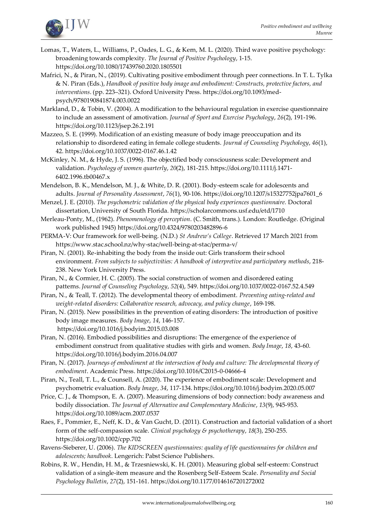

- Lomas, T., Waters, L., Williams, P., Oades, L. G., & Kern, M. L. (2020). Third wave positive psychology: broadening towards complexity. *The Journal of Positive Psychology*, 1-15. [https://doi.org/10.1080/17439760.2020.1805501](https://doi.org/10.1080/17439760.2020.1805501 )
- Mafrici, N., & Piran, N., (2019). Cultivating positive embodiment through peer connections. In T. L. Tylka & N. Piran (Eds.), *Handbook of positive body image and embodiment: Constructs, protective factors, and interventions*. (pp. 223–321). Oxford University Press[. https://doi.org/10.1093/med](https://doi.org/10.1093/med-psych/9780190841874.003.0022)[psych/9780190841874.003.0022](https://doi.org/10.1093/med-psych/9780190841874.003.0022)
- Markland, D., & Tobin, V. (2004). A modification to the behavioural regulation in exercise questionnaire to include an assessment of amotivation. *Journal of Sport and Exercise Psychology*, *26*(2), 191-196. <https://doi.org/10.1123/jsep.26.2.191>
- Mazzeo, S. E. (1999). Modification of an existing measure of body image preoccupation and its relationship to disordered eating in female college students. *Journal of Counseling Psychology*, *46*(1), 42.<https://doi.org/10.1037/0022-0167.46.1.42>
- McKinley, N. M., & Hyde, J. S. (1996). The objectified body consciousness scale: Development and validation. *Psychology of women quarterly*, *20*(2), 181-215[. https://doi.org/10.1111/j.1471-](https://doi.org/10.1111/j.1471-6402.1996.tb00467.x) [6402.1996.tb00467.x](https://doi.org/10.1111/j.1471-6402.1996.tb00467.x)
- Mendelson, B. K., Mendelson, M. J., & White, D. R. (2001). Body-esteem scale for adolescents and adults. *Journal of Personality Assessment*, *76*(1), 90-106[. https://doi.org/10.1207/s15327752jpa7601\\_6](https://doi.org/10.1207/s15327752jpa7601_6)
- Menzel, J. E. (2010). *The psychometric validation of the physical body experiences questionnaire.* Doctoral dissertation, University of South Florida[. https://scholarcommons.usf.edu/etd/1710](https://scholarcommons.usf.edu/etd/1710)
- Merleau-Ponty, M., (1962). *Phenomenology of perception*. (C. Smith, trans.). London: Routledge. (Original work published 1945[\) https://doi.org/10.4324/9780203482896-6](https://doi.org/10.4324/9780203482896-6)
- PERMA-V: Our framework for well-being. (N.D.) *St Andrew's College*. Retrieved 17 March 2021 from <https://www.stac.school.nz/why-stac/well-being-at-stac/perma-v/>
- Piran, N. (2001). Re-inhabiting the body from the inside out: Girls transform their school environment. *From subjects to subjectivities: A handbook of interpretive and participatory methods*, 218- 238. New York University Press.
- Piran, N., & Cormier, H. C. (2005). The social construction of women and disordered eating patterns. *Journal of Counseling Psychology*, *52*(4), 549[. https://doi.org/10.1037/0022-0167.52.4.549](https://doi.org/10.1037/0022-0167.52.4.549)
- Piran, N., & Teall, T. (2012). The developmental theory of embodiment. *Preventing eating-related and weight-related disorders: Collaborative research, advocacy, and policy change*, 169-198.
- Piran, N. (2015). New possibilities in the prevention of eating disorders: The introduction of positive body image measures. *Body Image*, *14*, 146-157[.](https://doi.org/10.1016/j.bodyim.2015.03.008)  <https://doi.org/10.1016/j.bodyim.2015.03.008>
- Piran, N. (2016). Embodied possibilities and disruptions: The emergence of the experience of embodiment construct from qualitative studies with girls and women. *Body Image*, *18*, 43-60. <https://doi.org/10.1016/j.bodyim.2016.04.007>
- Piran, N. (2017). *Journeys of embodiment at the intersection of body and culture: The developmental theory of embodiment*. Academic Press[. https://doi.org/10.1016/C2015-0-04666-4](https://doi.org/10.1016/C2015-0-04666-4)
- Piran, N., Teall, T. L., & Counsell, A. (2020). The experience of embodiment scale: Development and psychometric evaluation. *Body Image*, *34*, 117-134[. https://doi.org/10.1016/j.bodyim.2020.05.007](https://doi.org/10.1016/j.bodyim.2020.05.007)
- Price, C. J., & Thompson, E. A. (2007). Measuring dimensions of body connection: body awareness and bodily dissociation. *The Journal of Alternative and Complementary Medicine*, *13*(9), 945-953. <https://doi.org/10.1089/acm.2007.0537>
- Raes, F., Pommier, E., Neff, K. D., & Van Gucht, D. (2011). Construction and factorial validation of a short form of the self-compassion scale. *Clinical psychology & psychotherapy*, *18*(3), 250-255. <https://doi.org/10.1002/cpp.702>
- Ravens-Sieberer, U. (2006). *The KIDSCREEN questionnaires: quality of life questionnaires for children and adolescents; handbook*. Lengerich: Pabst Science Publishers.
- Robins, R. W., Hendin, H. M., & Trzesniewski, K. H. (2001). Measuring global self-esteem: Construct validation of a single-item measure and the Rosenberg Self-Esteem Scale. *Personality and Social Psychology Bulletin*, *27*(2), 151-161[. https://doi.org/10.1177/0146167201272002](https://doi.org/10.1177/0146167201272002)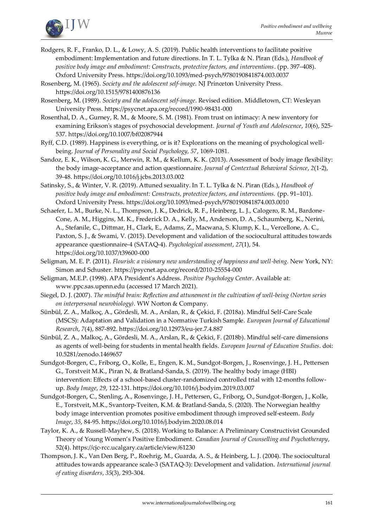

- Rodgers, R. F., Franko, D. L., & Lowy, A. S. (2019). Public health interventions to facilitate positive embodiment: Implementation and future directions. In T. L. Tylka & N. Piran (Eds.), *Handbook of positive body image and embodiment: Constructs, protective factors, and interventions*. (pp. 397–408). Oxford University Press.<https://doi.org/10.1093/med-psych/9780190841874.003.0037>
- Rosenberg, M. (1965). *Society and the adolescent self-image.* NJ Princeton University Press. <https://doi.org/10.1515/9781400876136>

Rosenberg, M. (1989). *Society and the adolescent self-image*. Revised edition. Middletown, CT: Wesleyan University Press[. https://psycnet.apa.org/record/1990-98431-000](https://psycnet.apa.org/record/1990-98431-000)

- Rosenthal, D. A., Gurney, R. M., & Moore, S. M. (1981). From trust on intimacy: A new inventory for examining Erikson's stages of psychosocial development. *Journal of Youth and Adolescence*, *10*(6), 525- 537.<https://doi.org/10.1007/bf02087944>
- Ryff, C.D. (1989). Happiness is everything, or is it? Explorations on the meaning of psychological wellbeing. *Journal of Personality and Social Psychology, 57*, 1069-1081.
- Sandoz, E. K., Wilson, K. G., Merwin, R. M., & Kellum, K. K. (2013). Assessment of body image flexibility: the body image-acceptance and action questionnaire. *Journal of Contextual Behavioral Science*, *2*(1-2), 39-48[. https://doi.org/10.1016/j.jcbs.2013.03.002](https://doi.org/10.1016/j.jcbs.2013.03.002)
- Satinsky, S., & Winter, V. R. (2019). Attuned sexuality. In T. L. Tylka & N. Piran (Eds.), *Handbook of positive body image and embodiment: Constructs, protective factors, and interventions.* (pp. 91–101). Oxford University Press.<https://doi.org/10.1093/med-psych/9780190841874.003.0010>
- Schaefer, L. M., Burke, N. L., Thompson, J. K., Dedrick, R. F., Heinberg, L. J., Calogero, R. M., Bardone-Cone, A. M., Higgins, M. K., Frederick D. A., Kelly, M., Anderson, D. A., Schaumberg, K., Nerini, A., Stefanile, C., Dittmar, H., Clark, E., Adams, Z., Macwana, S. Klump, K. L., Vercellone, A. C., Paxton, S. J., & Swami, V. (2015). Development and validation of the sociocultural attitudes towards appearance questionnaire-4 (SATAQ-4). *Psychological assessment*, *27*(1), 54. <https://doi.org/10.1037/t39600-000>
- Seligman, M. E. P. (2011). *Flourish: a visionary new understanding of happiness and well-being.* New York, NY: Simon and Schuster.<https://psycnet.apa.org/record/2010-25554-000>
- Seligman, M.E.P. (1998). APA President's Address. *Positive Psychology Center*. Available at: [www.ppc.sas.upenn.edu](http://www.ppc.sas.upenn.edu/) (accessed 17 March 2021).
- Siegel, D. J. (2007). *The mindful brain: Reflection and attunement in the cultivation of well-being (Norton series on interpersonal neurobiology)*. WW Norton & Company.
- Sünbül, Z. A., Malkoç, A., Gördesli, M. A., Arslan, R., & Çekici, F. (2018a). Mindful Self-Care Scale (MSCS): Adaptation and Validation in a Normative Turkish Sample. *European Journal of Educational Research*, *7*(4), 887-892[. https://doi.org/10.12973/eu-jer.7.4.887](https://doi.org/10.12973/eu-jer.7.4.887)
- Sünbül, Z. A., Malkoç, A., Gördesli, M. A., Arslan, R., & Çekici, F. (2018b). Mindful self-care dimensions as agents of well-being for students in mental health fields. *European Journal of Education Studies*. doi: [10.5281/zenodo.1469657](doi:%2010.5281/zenodo.1469657)
- Sundgot-Borgen, C., Friborg, O., Kolle, E., Engen, K. M., Sundgot-Borgen, J., Rosenvinge, J. H., Pettersen G., Torstveit M.K., Piran N, & Bratland-Sanda, S. (2019). The healthy body image (HBI) intervention: Effects of a school-based cluster-randomized controlled trial with 12-months followup. *Body Image*, *29*, 122-131[. https://doi.org/10.1016/j.bodyim.2019.03.007](https://doi.org/10.1016/j.bodyim.2019.03.007)
- Sundgot-Borgen, C., Stenling, A., Rosenvinge, J. H., Pettersen, G., Friborg, O., Sundgot-Borgen, J., Kolle, E., Torstveit, M.K., Svantorp-Tveiten, K.M. & Bratland-Sanda, S. (2020). The Norwegian healthy body image intervention promotes positive embodiment through improved self-esteem. *Body Image*, *35*, 84-95[. https://doi.org/10.1016/j.bodyim.2020.08.014](https://doi.org/10.1016/j.bodyim.2020.08.014 )
- Taylor, K. A., & Russell-Mayhew, S. (2018). Working to Balance: A Preliminary Constructivist Grounded Theory of Young Women's Positive Embodiment. *Canadian Journal of Counselling and Psychotherapy*, 52(4)[. https://cjc-rcc.ucalgary.ca/article/view/61230](https://cjc-rcc.ucalgary.ca/article/view/61230)
- Thompson, J. K., Van Den Berg, P., Roehrig, M., Guarda, A. S., & Heinberg, L. J. (2004). The sociocultural attitudes towards appearance scale-3 (SATAQ-3): Development and validation. *International journal of eating disorders*, *35*(3), 293-304.